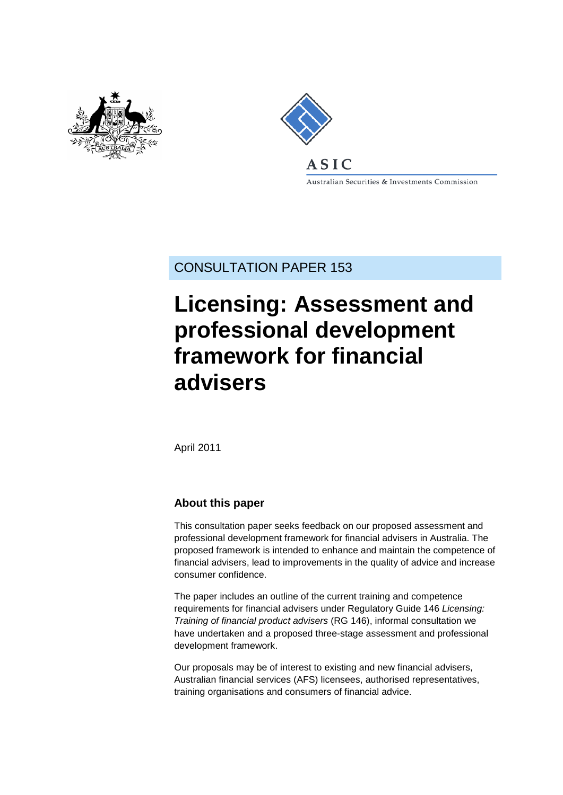



.<br>Australian Securities & Investments Commission

CONSULTATION PAPER 153

# **Licensing: Assessment and professional development framework for financial advisers**

April 2011

### **About this paper**

This consultation paper seeks feedback on our proposed assessment and professional development framework for financial advisers in Australia. The proposed framework is intended to enhance and maintain the competence of financial advisers, lead to improvements in the quality of advice and increase consumer confidence.

The paper includes an outline of the current training and competence requirements for financial advisers under Regulatory Guide 146 *Licensing: Training of financial product advisers* (RG 146), informal consultation we have undertaken and a proposed three-stage assessment and professional development framework.

Our proposals may be of interest to existing and new financial advisers, Australian financial services (AFS) licensees, authorised representatives, training organisations and consumers of financial advice.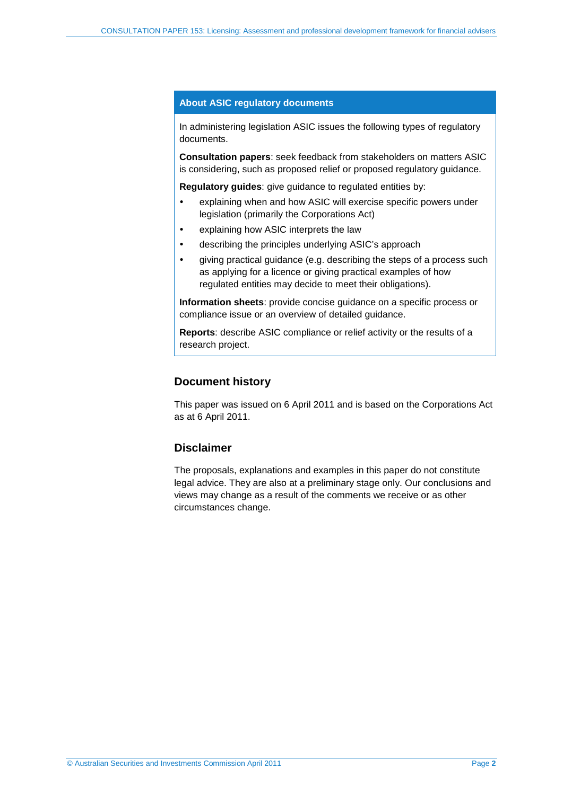### **About ASIC regulatory documents**

In administering legislation ASIC issues the following types of regulatory documents.

**Consultation papers**: seek feedback from stakeholders on matters ASIC is considering, such as proposed relief or proposed regulatory guidance.

**Regulatory guides**: give guidance to regulated entities by:

- explaining when and how ASIC will exercise specific powers under legislation (primarily the Corporations Act)
- explaining how ASIC interprets the law
- describing the principles underlying ASIC's approach
- giving practical guidance (e.g. describing the steps of a process such as applying for a licence or giving practical examples of how regulated entities may decide to meet their obligations).

**Information sheets**: provide concise guidance on a specific process or compliance issue or an overview of detailed guidance.

**Reports**: describe ASIC compliance or relief activity or the results of a research project.

### **Document history**

This paper was issued on 6 April 2011 and is based on the Corporations Act as at 6 April 2011.

### **Disclaimer**

The proposals, explanations and examples in this paper do not constitute legal advice. They are also at a preliminary stage only. Our conclusions and views may change as a result of the comments we receive or as other circumstances change.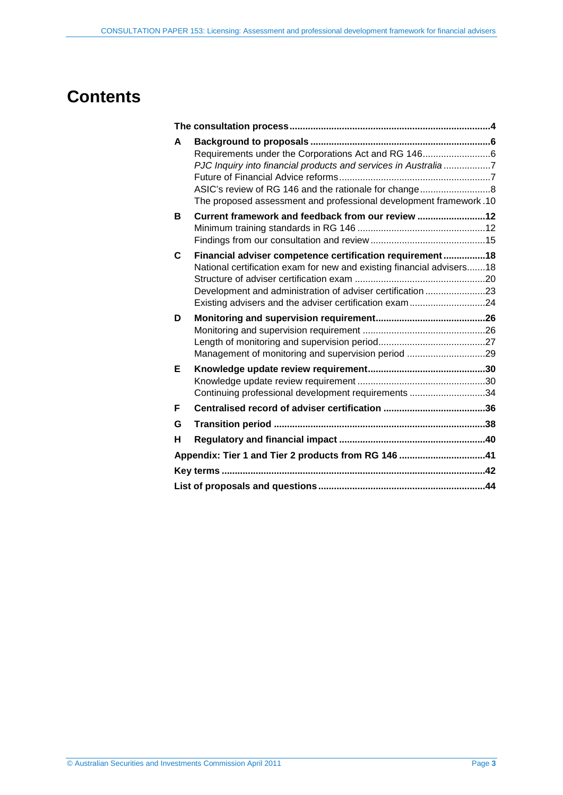## **Contents**

| A | Requirements under the Corporations Act and RG 1466<br>PJC Inquiry into financial products and services in Australia7<br>The proposed assessment and professional development framework.10 |  |
|---|--------------------------------------------------------------------------------------------------------------------------------------------------------------------------------------------|--|
| в | Current framework and feedback from our review 12                                                                                                                                          |  |
|   |                                                                                                                                                                                            |  |
| C | Financial adviser competence certification requirement 18                                                                                                                                  |  |
|   | National certification exam for new and existing financial advisers 18                                                                                                                     |  |
|   | Development and administration of adviser certification 23                                                                                                                                 |  |
|   |                                                                                                                                                                                            |  |
| D |                                                                                                                                                                                            |  |
|   |                                                                                                                                                                                            |  |
|   |                                                                                                                                                                                            |  |
|   | Management of monitoring and supervision period 29                                                                                                                                         |  |
| Е |                                                                                                                                                                                            |  |
|   | Continuing professional development requirements 34                                                                                                                                        |  |
|   |                                                                                                                                                                                            |  |
| F |                                                                                                                                                                                            |  |
| G |                                                                                                                                                                                            |  |
| н |                                                                                                                                                                                            |  |
|   | Appendix: Tier 1 and Tier 2 products from RG 146 41                                                                                                                                        |  |
|   |                                                                                                                                                                                            |  |
|   |                                                                                                                                                                                            |  |
|   |                                                                                                                                                                                            |  |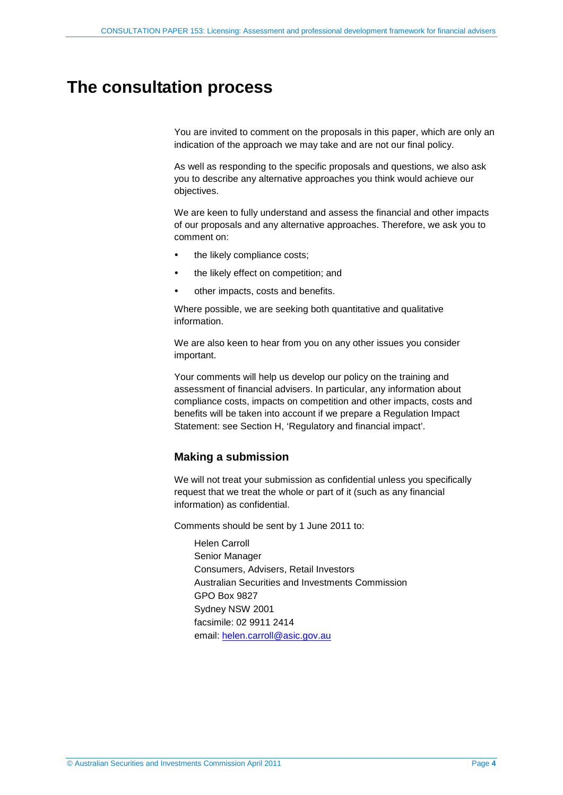## <span id="page-3-1"></span><span id="page-3-0"></span>**The consultation process**

You are invited to comment on the proposals in this paper, which are only an indication of the approach we may take and are not our final policy.

As well as responding to the specific proposals and questions, we also ask you to describe any alternative approaches you think would achieve our objectives.

We are keen to fully understand and assess the financial and other impacts of our proposals and any alternative approaches. Therefore, we ask you to comment on:

- the likely compliance costs;
- the likely effect on competition; and
- other impacts, costs and benefits.

Where possible, we are seeking both quantitative and qualitative information.

We are also keen to hear from you on any other issues you consider important.

Your comments will help us develop our policy on the training and assessment of financial advisers. In particular, any information about compliance costs, impacts on competition and other impacts, costs and benefits will be taken into account if we prepare a Regulation Impact Statement: see Section [H,](#page-39-0) 'Regulatory and financial impact'.

### **Making a submission**

We will not treat your submission as confidential unless you specifically request that we treat the whole or part of it (such as any financial information) as confidential.

Comments should be sent by 1 June 2011 to:

Helen Carroll Senior Manager Consumers, Advisers, Retail Investors Australian Securities and Investments Commission GPO Box 9827 Sydney NSW 2001 facsimile: 02 9911 2414 email: [helen.carroll@asic.gov.au](mailto:helen.carroll@asic.gov.au)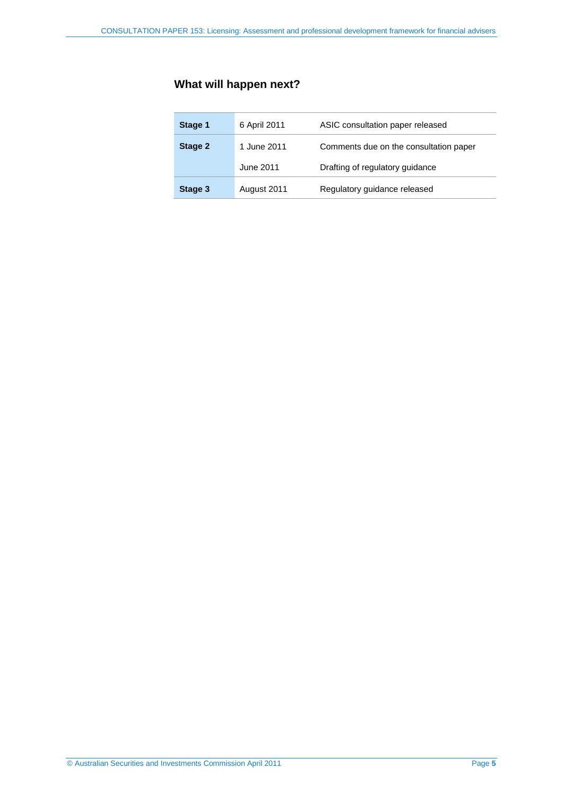## **What will happen next?**

| Stage 1 | 6 April 2011 | ASIC consultation paper released       |
|---------|--------------|----------------------------------------|
| Stage 2 | 1 June 2011  | Comments due on the consultation paper |
|         | June 2011    | Drafting of regulatory guidance        |
| Stage 3 | August 2011  | Regulatory guidance released           |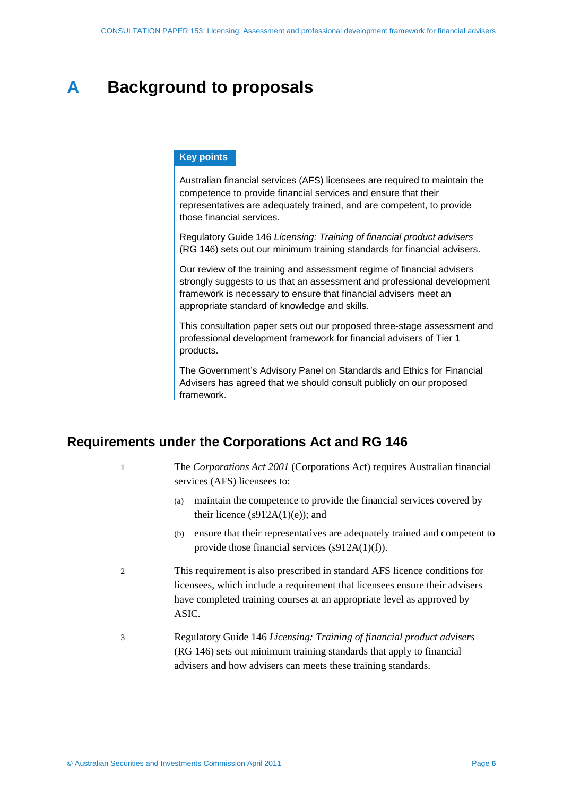## <span id="page-5-0"></span>**A Background to proposals**

### **Key points**

Australian financial services (AFS) licensees are required to maintain the competence to provide financial services and ensure that their representatives are adequately trained, and are competent, to provide those financial services.

Regulatory Guide 146 *Licensing: Training of financial product advisers* (RG 146) sets out our minimum training standards for financial advisers.

Our review of the training and assessment regime of financial advisers strongly suggests to us that an assessment and professional development framework is necessary to ensure that financial advisers meet an appropriate standard of knowledge and skills.

This consultation paper sets out our proposed three-stage assessment and professional development framework for financial advisers of Tier 1 products.

The Government's Advisory Panel on Standards and Ethics for Financial Advisers has agreed that we should consult publicly on our proposed framework.

## <span id="page-5-1"></span>**Requirements under the Corporations Act and RG 146**

1 The *Corporations Act 2001* (Corporations Act) requires Australian financial services (AFS) licensees to:

- (a) maintain the competence to provide the financial services covered by their licence  $(s912A(1)(e))$ ; and
- (b) ensure that their representatives are adequately trained and competent to provide those financial services (s912A(1)(f)).
- 2 This requirement is also prescribed in standard AFS licence conditions for licensees, which include a requirement that licensees ensure their advisers have completed training courses at an appropriate level as approved by ASIC.
- 3 Regulatory Guide 146 *Licensing: Training of financial product advisers* (RG 146) sets out minimum training standards that apply to financial advisers and how advisers can meets these training standards.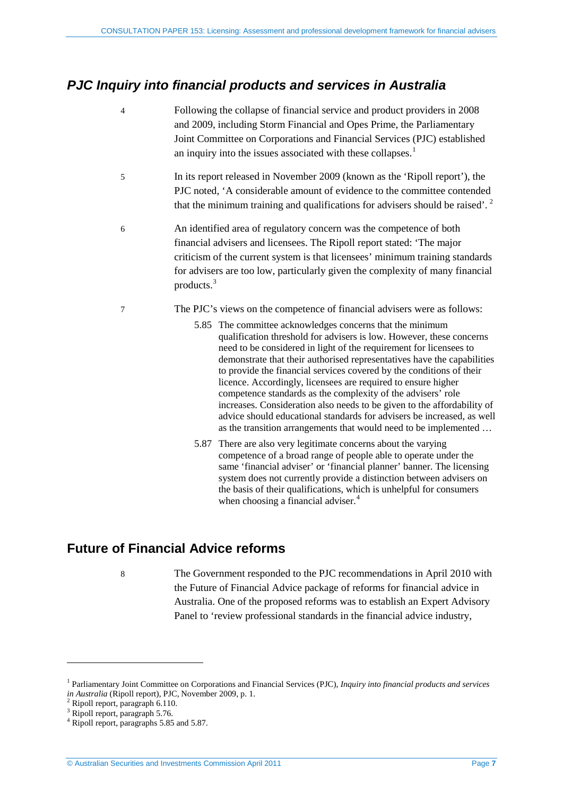## <span id="page-6-0"></span>*PJC Inquiry into financial products and services in Australia*

- 4 Following the collapse of financial service and product providers in 2008 and 2009, including Storm Financial and Opes Prime, the Parliamentary Joint Committee on Corporations and Financial Services (PJC) established an inquiry into the issues associated with these collapses.<sup>[1](#page-6-2)</sup>
- 5 In its report released in November 2009 (known as the 'Ripoll report'), the PJC noted, 'A considerable amount of evidence to the committee contended that the minimum training and qualifications for advisers should be raised'.<sup>[2](#page-6-3)</sup>
- 6 An identified area of regulatory concern was the competence of both financial advisers and licensees. The Ripoll report stated: 'The major criticism of the current system is that licensees' minimum training standards for advisers are too low, particularly given the complexity of many financial products.[3](#page-6-4)
- 7 The PJC's views on the competence of financial advisers were as follows:
	- 5.85 The committee acknowledges concerns that the minimum qualification threshold for advisers is low. However, these concerns need to be considered in light of the requirement for licensees to demonstrate that their authorised representatives have the capabilities to provide the financial services covered by the conditions of their licence. Accordingly, licensees are required to ensure higher competence standards as the complexity of the advisers' role increases. Consideration also needs to be given to the affordability of advice should educational standards for advisers be increased, as well as the transition arrangements that would need to be implemented …
	- 5.87 There are also very legitimate concerns about the varying competence of a broad range of people able to operate under the same 'financial adviser' or 'financial planner' banner. The licensing system does not currently provide a distinction between advisers on the basis of their qualifications, which is unhelpful for consumers when choosing a financial adviser.<sup>[4](#page-6-5)</sup>

## <span id="page-6-1"></span>**Future of Financial Advice reforms**

8 The Government responded to the PJC recommendations in April 2010 with the Future of Financial Advice package of reforms for financial advice in Australia. One of the proposed reforms was to establish an Expert Advisory Panel to 'review professional standards in the financial advice industry,

<span id="page-6-2"></span><sup>1</sup> Parliamentary Joint Committee on Corporations and Financial Services (PJC), *Inquiry into financial products and services in Australia* (Ripoll report), PJC, November 2009, p. 1. <sup>2</sup> Ripoll report, paragraph 6.110.

<span id="page-6-4"></span><span id="page-6-3"></span><sup>&</sup>lt;sup>3</sup> Ripoll report, paragraph 5.76.

<span id="page-6-5"></span><sup>4</sup> Ripoll report, paragraphs 5.85 and 5.87.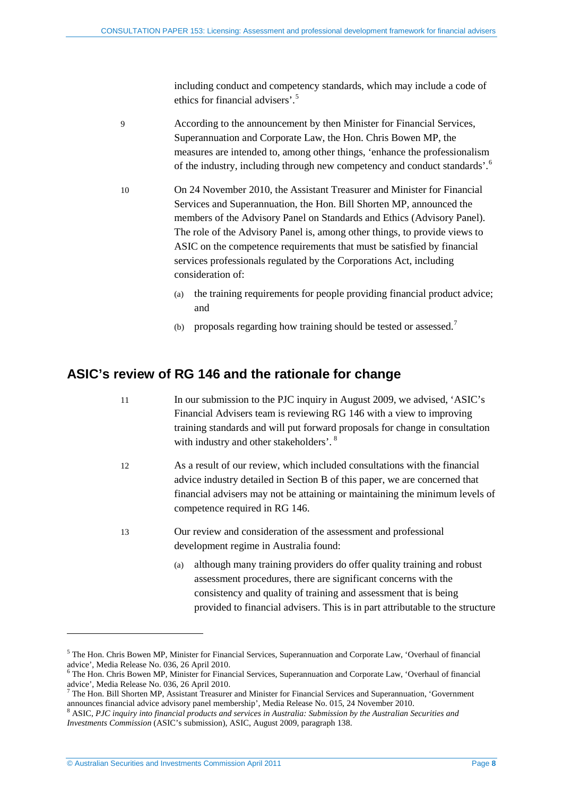including conduct and competency standards, which may include a code of ethics for financial advisers'. [5](#page-7-1)

9 According to the announcement by then Minister for Financial Services, Superannuation and Corporate Law, the Hon. Chris Bowen MP, the measures are intended to, among other things, 'enhance the professionalism of the industry, including through new competency and conduct standards'.<sup>[6](#page-7-2)</sup>

- 10 On 24 November 2010, the Assistant Treasurer and Minister for Financial Services and Superannuation, the Hon. Bill Shorten MP, announced the members of the Advisory Panel on Standards and Ethics (Advisory Panel). The role of the Advisory Panel is, among other things, to provide views to ASIC on the competence requirements that must be satisfied by financial services professionals regulated by the Corporations Act, including consideration of:
	- (a) the training requirements for people providing financial product advice; and
	- (b) proposals regarding how training should be tested or assessed.[7](#page-7-3)

### <span id="page-7-0"></span>**ASIC's review of RG 146 and the rationale for change**

- 11 In our submission to the PJC inquiry in August 2009, we advised, 'ASIC's Financial Advisers team is reviewing RG 146 with a view to improving training standards and will put forward proposals for change in consultation with industry and other stakeholders'.<sup>[8](#page-7-4)</sup>
- 12 As a result of our review, which included consultations with the financial advice industry detailed in Section [B](#page-11-0) of this paper, we are concerned that financial advisers may not be attaining or maintaining the minimum levels of competence required in RG 146.
- 13 Our review and consideration of the assessment and professional development regime in Australia found:
	- (a) although many training providers do offer quality training and robust assessment procedures, there are significant concerns with the consistency and quality of training and assessment that is being provided to financial advisers. This is in part attributable to the structure

<u>.</u>

<span id="page-7-1"></span><sup>5</sup> The Hon. Chris Bowen MP, Minister for Financial Services, Superannuation and Corporate Law, 'Overhaul of financial advice', Media Release No. 036, 26 April 2010.<br><sup>6</sup> The Hon. Chris Bowen MP, Minister for Financial Services, Superannuation and Corporate Law, 'Overhaul of financial

<span id="page-7-2"></span>

<span id="page-7-3"></span>advice', Media Release No. 036, 26 April 2010.<br><sup>7</sup> The Hon. Bill Shorten MP, Assistant Treasurer and Minister for Financial Services and Superannuation, 'Government announces financial advice advisory panel membership', Media Release No. 015, 24 November 2010.<br><sup>8</sup> ASIC, *PJC inquiry into financial products and services in Australia: Submission by the Australian Securities and* 

<span id="page-7-4"></span>*Investments Commission* (ASIC's submission), ASIC, August 2009, paragraph 138.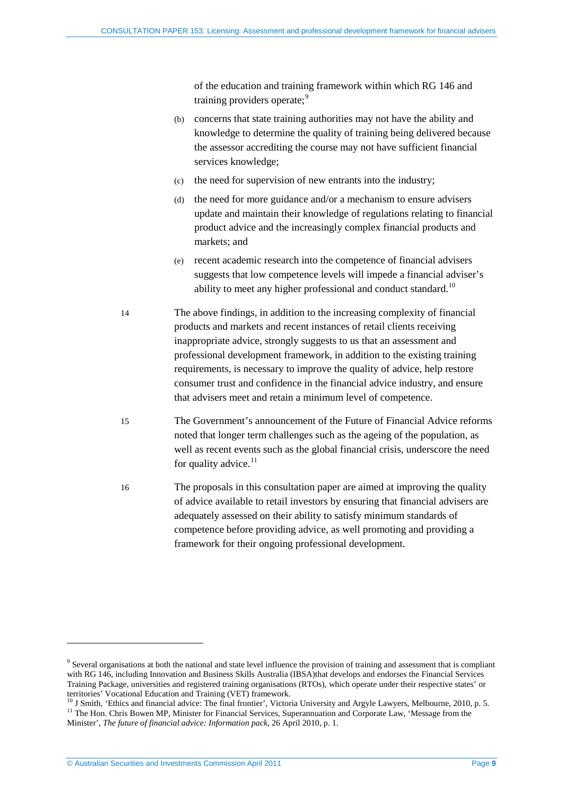of the education and training framework within which RG 146 and training providers operate;<sup>[9](#page-8-0)</sup>

- (b) concerns that state training authorities may not have the ability and knowledge to determine the quality of training being delivered because the assessor accrediting the course may not have sufficient financial services knowledge;
- (c) the need for supervision of new entrants into the industry;
- (d) the need for more guidance and/or a mechanism to ensure advisers update and maintain their knowledge of regulations relating to financial product advice and the increasingly complex financial products and markets; and
- (e) recent academic research into the competence of financial advisers suggests that low competence levels will impede a financial adviser's ability to meet any higher professional and conduct standard.<sup>[10](#page-8-1)</sup>
- 14 The above findings, in addition to the increasing complexity of financial products and markets and recent instances of retail clients receiving inappropriate advice, strongly suggests to us that an assessment and professional development framework, in addition to the existing training requirements, is necessary to improve the quality of advice, help restore consumer trust and confidence in the financial advice industry, and ensure that advisers meet and retain a minimum level of competence.
- 15 The Government's announcement of the Future of Financial Advice reforms noted that longer term challenges such as the ageing of the population, as well as recent events such as the global financial crisis, underscore the need for quality advice. $11$
- 16 The proposals in this consultation paper are aimed at improving the quality of advice available to retail investors by ensuring that financial advisers are adequately assessed on their ability to satisfy minimum standards of competence before providing advice, as well promoting and providing a framework for their ongoing professional development.

<span id="page-8-0"></span><sup>&</sup>lt;sup>9</sup> Several organisations at both the national and state level influence the provision of training and assessment that is compliant with RG 146, including Innovation and Business Skills Australia (IBSA)that develops and endorses the Financial Services Training Package, universities and registered training organisations (RTOs), which operate under their respective states' or

<span id="page-8-2"></span><span id="page-8-1"></span>territories' Vocational Education and Training (VET) framework.<br><sup>10</sup> J Smith, 'Ethics and financial advice: The final frontier', Victoria University and Argyle Lawyers, Melbourne, 2010, p. 5.<br><sup>11</sup> The Hon. Chris Bowen MP, Minister', *The future of financial advice: Information pack*, 26 April 2010, p. 1.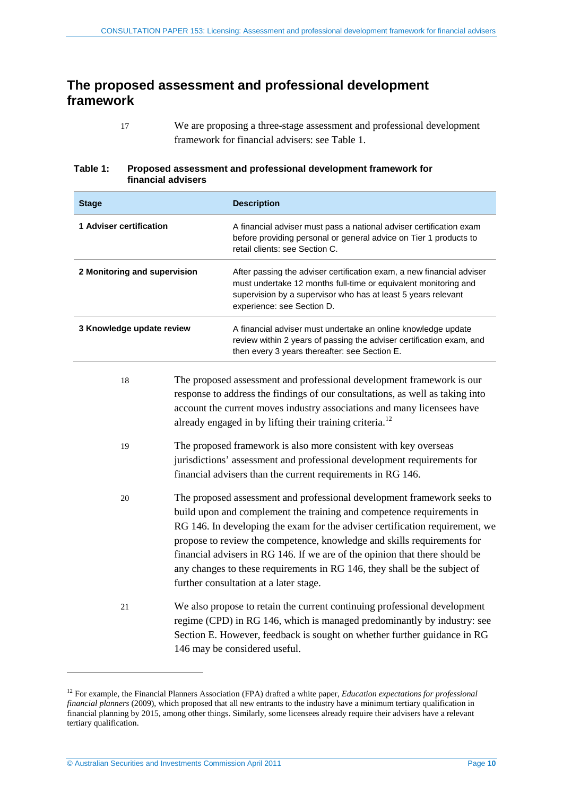## <span id="page-9-0"></span>**The proposed assessment and professional development framework**

17 We are proposing a three-stage assessment and professional development framework for financial advisers: see [Table 1.](#page-9-1)

### <span id="page-9-1"></span>**Table 1: Proposed assessment and professional development framework for financial advisers**

| <b>Stage</b>                   |  | <b>Description</b>                                                                                                                                                                                                                                                                                                                                                                                                                                                                                                |
|--------------------------------|--|-------------------------------------------------------------------------------------------------------------------------------------------------------------------------------------------------------------------------------------------------------------------------------------------------------------------------------------------------------------------------------------------------------------------------------------------------------------------------------------------------------------------|
| <b>1 Adviser certification</b> |  | A financial adviser must pass a national adviser certification exam<br>before providing personal or general advice on Tier 1 products to<br>retail clients: see Section C.                                                                                                                                                                                                                                                                                                                                        |
| 2 Monitoring and supervision   |  | After passing the adviser certification exam, a new financial adviser<br>must undertake 12 months full-time or equivalent monitoring and<br>supervision by a supervisor who has at least 5 years relevant<br>experience: see Section D.                                                                                                                                                                                                                                                                           |
| 3 Knowledge update review      |  | A financial adviser must undertake an online knowledge update<br>review within 2 years of passing the adviser certification exam, and<br>then every 3 years thereafter: see Section E.                                                                                                                                                                                                                                                                                                                            |
| 18                             |  | The proposed assessment and professional development framework is our<br>response to address the findings of our consultations, as well as taking into<br>account the current moves industry associations and many licensees have<br>already engaged in by lifting their training criteria. <sup>12</sup>                                                                                                                                                                                                         |
| 19                             |  | The proposed framework is also more consistent with key overseas<br>jurisdictions' assessment and professional development requirements for<br>financial advisers than the current requirements in RG 146.                                                                                                                                                                                                                                                                                                        |
| 20                             |  | The proposed assessment and professional development framework seeks to<br>build upon and complement the training and competence requirements in<br>RG 146. In developing the exam for the adviser certification requirement, we<br>propose to review the competence, knowledge and skills requirements for<br>financial advisers in RG 146. If we are of the opinion that there should be<br>any changes to these requirements in RG 146, they shall be the subject of<br>further consultation at a later stage. |
| 21                             |  | We also propose to retain the current continuing professional development<br>regime (CPD) in RG 146, which is managed predominantly by industry: see<br>Section E. However, feedback is sought on whether further guidance in RG<br>146 may be considered useful.                                                                                                                                                                                                                                                 |

<span id="page-9-2"></span><sup>12</sup> For example, the Financial Planners Association (FPA) drafted a white paper, *Education expectations for professional financial planners* (2009), which proposed that all new entrants to the industry have a minimum tertiary qualification in financial planning by 2015, among other things. Similarly, some licensees already require their advisers have a relevant tertiary qualification.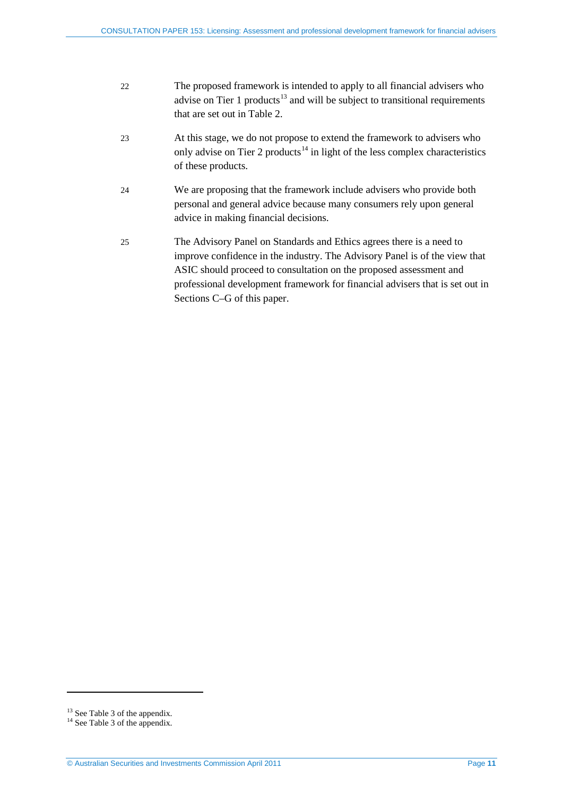<span id="page-10-3"></span><span id="page-10-2"></span>

| 22 | The proposed framework is intended to apply to all financial advisers who<br>advise on Tier 1 products <sup>13</sup> and will be subject to transitional requirements<br>that are set out in Table 2. |
|----|-------------------------------------------------------------------------------------------------------------------------------------------------------------------------------------------------------|
| 23 | At this stage, we do not propose to extend the framework to advisers who<br>only advise on Tier 2 products <sup>14</sup> in light of the less complex characteristics<br>of these products.           |
| 24 | We are proposing that the framework include advisers who provide both<br>personal and general advice because many consumers rely upon general<br>advice in making financial decisions.                |

25 The Advisory Panel on Standards and Ethics agrees there is a need to improve confidence in the industry. The Advisory Panel is of the view that ASIC should proceed to consultation on the proposed assessment and professional development framework for financial advisers that is set out in Sections C[–G](#page-37-0) of this paper.

<span id="page-10-1"></span><span id="page-10-0"></span><sup>&</sup>lt;sup>13</sup> Se[e Table 3](#page-40-1) of the appendix.<br><sup>14</sup> See Table 3 of the appendix.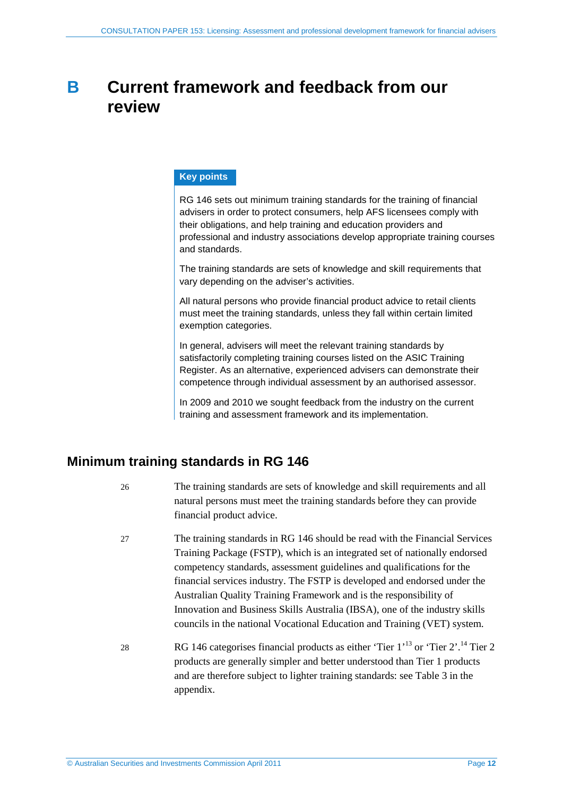## <span id="page-11-0"></span>**B Current framework and feedback from our review**

### **Key points**

RG 146 sets out minimum training standards for the training of financial advisers in order to protect consumers, help AFS licensees comply with their obligations, and help training and education providers and professional and industry associations develop appropriate training courses and standards.

The training standards are sets of knowledge and skill requirements that vary depending on the adviser's activities.

All natural persons who provide financial product advice to retail clients must meet the training standards, unless they fall within certain limited exemption categories.

In general, advisers will meet the relevant training standards by satisfactorily completing training courses listed on the ASIC Training Register. As an alternative, experienced advisers can demonstrate their competence through individual assessment by an authorised assessor.

In 2009 and 2010 we sought feedback from the industry on the current training and assessment framework and its implementation.

## <span id="page-11-1"></span>**Minimum training standards in RG 146**

- 26 The training standards are sets of knowledge and skill requirements and all natural persons must meet the training standards before they can provide financial product advice.
- 27 The training standards in RG 146 should be read with the Financial Services Training Package (FSTP), which is an integrated set of nationally endorsed competency standards, assessment guidelines and qualifications for the financial services industry. The FSTP is developed and endorsed under the Australian Quality Training Framework and is the responsibility of Innovation and Business Skills Australia (IBSA), one of the industry skills councils in the national Vocational Education and Training (VET) system.
- 28 RG [14](#page-10-3)6 categorises financial products as either 'Tier  $1'$ <sup>[13](#page-10-2)</sup> or 'Tier  $2'$ .<sup>14</sup> Tier 2 products are generally simpler and better understood than Tier 1 products and are therefore subject to lighter training standards: see [Table 3](#page-40-1) in the appendix.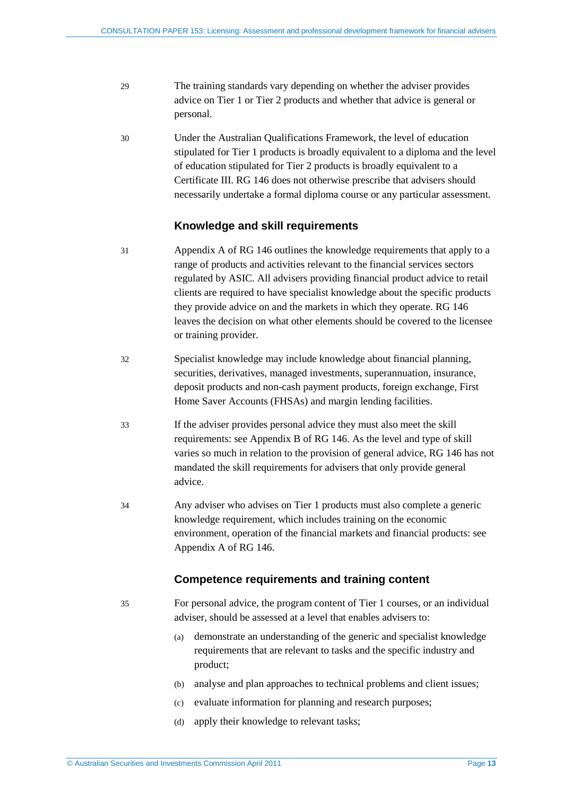- 29 The training standards vary depending on whether the adviser provides advice on Tier 1 or Tier 2 products and whether that advice is general or personal.
- 30 Under the Australian Qualifications Framework, the level of education stipulated for Tier 1 products is broadly equivalent to a diploma and the level of education stipulated for Tier 2 products is broadly equivalent to a Certificate III. RG 146 does not otherwise prescribe that advisers should necessarily undertake a formal diploma course or any particular assessment.

### **Knowledge and skill requirements**

- 31 Appendix A of RG 146 outlines the knowledge requirements that apply to a range of products and activities relevant to the financial services sectors regulated by ASIC. All advisers providing financial product advice to retail clients are required to have specialist knowledge about the specific products they provide advice on and the markets in which they operate. RG 146 leaves the decision on what other elements should be covered to the licensee or training provider.
- 32 Specialist knowledge may include knowledge about financial planning, securities, derivatives, managed investments, superannuation, insurance, deposit products and non-cash payment products, foreign exchange, First Home Saver Accounts (FHSAs) and margin lending facilities.
- 33 If the adviser provides personal advice they must also meet the skill requirements: see Appendix B of RG 146. As the level and type of skill varies so much in relation to the provision of general advice, RG 146 has not mandated the skill requirements for advisers that only provide general advice.
- 34 Any adviser who advises on Tier 1 products must also complete a generic knowledge requirement, which includes training on the economic environment, operation of the financial markets and financial products: see Appendix A of RG 146.

### **Competence requirements and training content**

- 35 For personal advice, the program content of Tier 1 courses, or an individual adviser, should be assessed at a level that enables advisers to:
	- (a) demonstrate an understanding of the generic and specialist knowledge requirements that are relevant to tasks and the specific industry and product;
	- (b) analyse and plan approaches to technical problems and client issues;
	- (c) evaluate information for planning and research purposes;
	- (d) apply their knowledge to relevant tasks;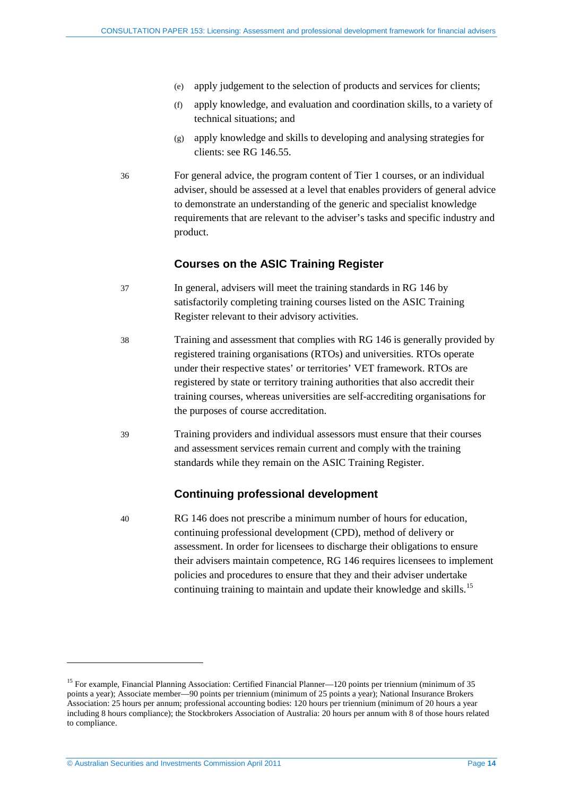- (e) apply judgement to the selection of products and services for clients;
- (f) apply knowledge, and evaluation and coordination skills, to a variety of technical situations; and
- (g) apply knowledge and skills to developing and analysing strategies for clients: see RG 146.55.
- 36 For general advice, the program content of Tier 1 courses, or an individual adviser, should be assessed at a level that enables providers of general advice to demonstrate an understanding of the generic and specialist knowledge requirements that are relevant to the adviser's tasks and specific industry and product.

### **Courses on the ASIC Training Register**

- 37 In general, advisers will meet the training standards in RG 146 by satisfactorily completing training courses listed on the ASIC Training Register relevant to their advisory activities.
- 38 Training and assessment that complies with RG 146 is generally provided by registered training organisations (RTOs) and universities. RTOs operate under their respective states' or territories' VET framework. RTOs are registered by state or territory training authorities that also accredit their training courses, whereas universities are self-accrediting organisations for the purposes of course accreditation.
- 39 Training providers and individual assessors must ensure that their courses and assessment services remain current and comply with the training standards while they remain on the ASIC Training Register.

### **Continuing professional development**

40 RG 146 does not prescribe a minimum number of hours for education, continuing professional development (CPD), method of delivery or assessment. In order for licensees to discharge their obligations to ensure their advisers maintain competence, RG 146 requires licensees to implement policies and procedures to ensure that they and their adviser undertake continuing training to maintain and update their knowledge and skills.<sup>[15](#page-13-0)</sup>

<span id="page-13-0"></span><sup>&</sup>lt;sup>15</sup> For example, Financial Planning Association: Certified Financial Planner—120 points per triennium (minimum of 35 points a year); Associate member—90 points per triennium (minimum of 25 points a year); National Insurance Brokers Association: 25 hours per annum; professional accounting bodies: 120 hours per triennium (minimum of 20 hours a year including 8 hours compliance); the Stockbrokers Association of Australia: 20 hours per annum with 8 of those hours related to compliance.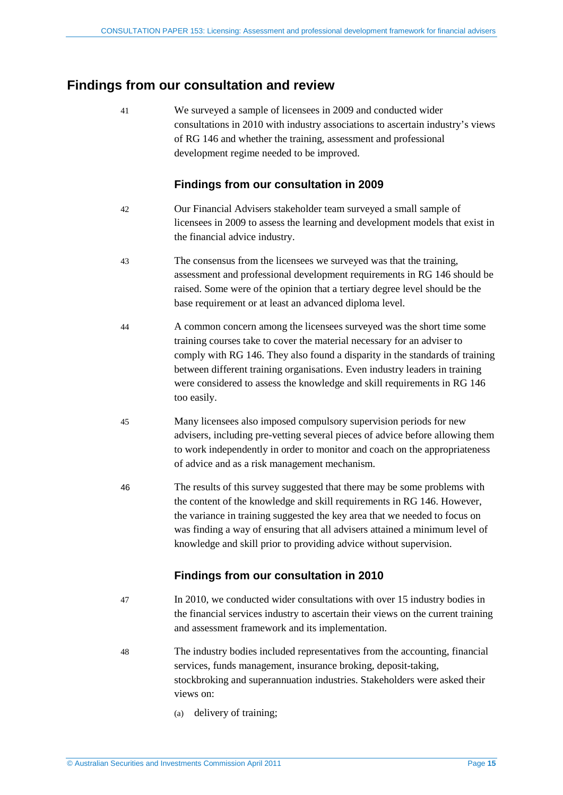## <span id="page-14-0"></span>**Findings from our consultation and review**

41 We surveyed a sample of licensees in 2009 and conducted wider consultations in 2010 with industry associations to ascertain industry's views of RG 146 and whether the training, assessment and professional development regime needed to be improved.

### **Findings from our consultation in 2009**

- 42 Our Financial Advisers stakeholder team surveyed a small sample of licensees in 2009 to assess the learning and development models that exist in the financial advice industry.
- 43 The consensus from the licensees we surveyed was that the training, assessment and professional development requirements in RG 146 should be raised. Some were of the opinion that a tertiary degree level should be the base requirement or at least an advanced diploma level.
- 44 A common concern among the licensees surveyed was the short time some training courses take to cover the material necessary for an adviser to comply with RG 146. They also found a disparity in the standards of training between different training organisations. Even industry leaders in training were considered to assess the knowledge and skill requirements in RG 146 too easily.
- 45 Many licensees also imposed compulsory supervision periods for new advisers, including pre-vetting several pieces of advice before allowing them to work independently in order to monitor and coach on the appropriateness of advice and as a risk management mechanism.
- 46 The results of this survey suggested that there may be some problems with the content of the knowledge and skill requirements in RG 146. However, the variance in training suggested the key area that we needed to focus on was finding a way of ensuring that all advisers attained a minimum level of knowledge and skill prior to providing advice without supervision.

### **Findings from our consultation in 2010**

- 47 In 2010, we conducted wider consultations with over 15 industry bodies in the financial services industry to ascertain their views on the current training and assessment framework and its implementation.
- 48 The industry bodies included representatives from the accounting, financial services, funds management, insurance broking, deposit-taking, stockbroking and superannuation industries. Stakeholders were asked their views on:
	- (a) delivery of training;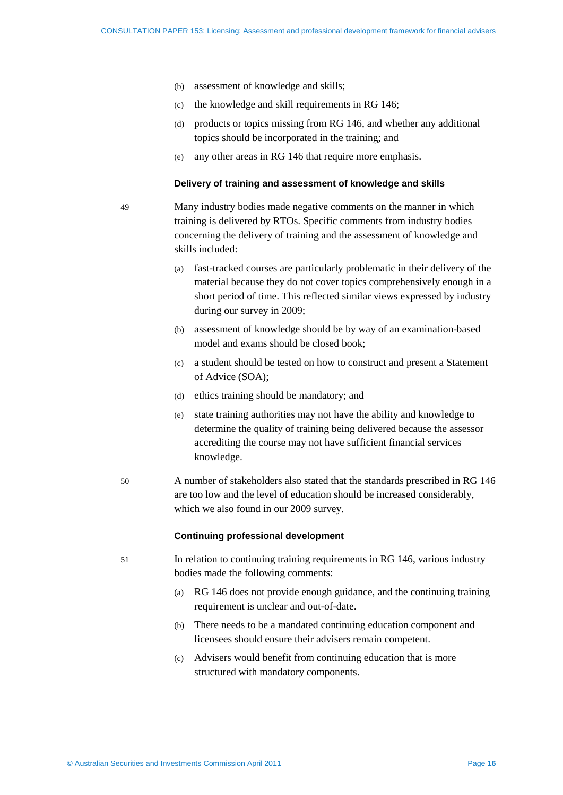- (b) assessment of knowledge and skills;
- (c) the knowledge and skill requirements in RG 146;
- (d) products or topics missing from RG 146, and whether any additional topics should be incorporated in the training; and
- (e) any other areas in RG 146 that require more emphasis.

#### **Delivery of training and assessment of knowledge and skills**

49 Many industry bodies made negative comments on the manner in which training is delivered by RTOs. Specific comments from industry bodies concerning the delivery of training and the assessment of knowledge and skills included:

- (a) fast-tracked courses are particularly problematic in their delivery of the material because they do not cover topics comprehensively enough in a short period of time. This reflected similar views expressed by industry during our survey in 2009;
- (b) assessment of knowledge should be by way of an examination-based model and exams should be closed book;
- (c) a student should be tested on how to construct and present a Statement of Advice (SOA);
- (d) ethics training should be mandatory; and
- (e) state training authorities may not have the ability and knowledge to determine the quality of training being delivered because the assessor accrediting the course may not have sufficient financial services knowledge.
- 50 A number of stakeholders also stated that the standards prescribed in RG 146 are too low and the level of education should be increased considerably, which we also found in our 2009 survey.

### **Continuing professional development**

- 51 In relation to continuing training requirements in RG 146, various industry bodies made the following comments:
	- (a) RG 146 does not provide enough guidance, and the continuing training requirement is unclear and out-of-date.
	- (b) There needs to be a mandated continuing education component and licensees should ensure their advisers remain competent.
	- (c) Advisers would benefit from continuing education that is more structured with mandatory components.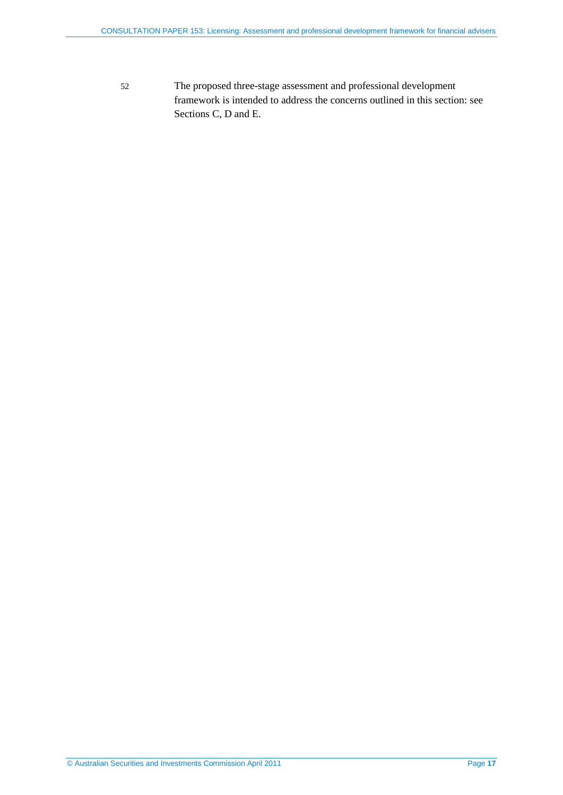52 The proposed three-stage assessment and professional development framework is intended to address the concerns outlined in this section: see Sections [C,](#page-17-0) [D](#page-25-0) and [E.](#page-29-0)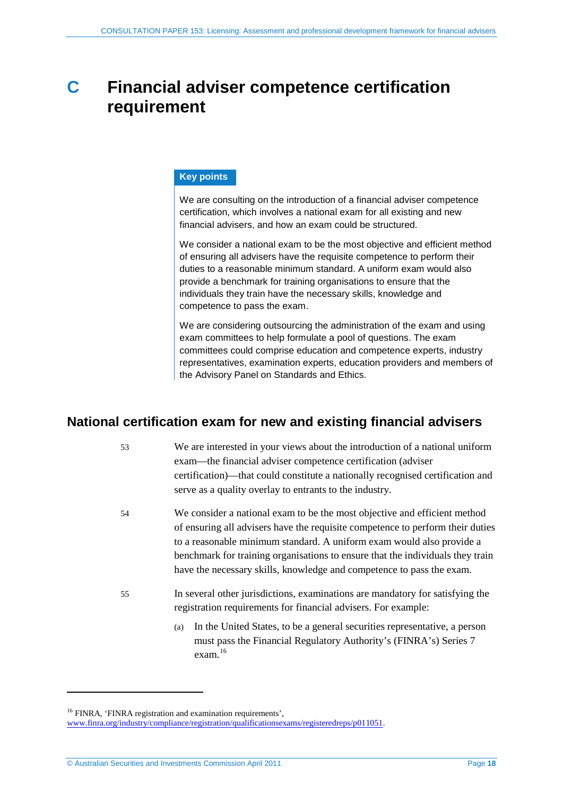## <span id="page-17-0"></span>**C Financial adviser competence certification requirement**

### **Key points**

We are consulting on the introduction of a financial adviser competence certification, which involves a national exam for all existing and new financial advisers, and how an exam could be structured.

We consider a national exam to be the most objective and efficient method of ensuring all advisers have the requisite competence to perform their duties to a reasonable minimum standard. A uniform exam would also provide a benchmark for training organisations to ensure that the individuals they train have the necessary skills, knowledge and competence to pass the exam.

We are considering outsourcing the administration of the exam and using exam committees to help formulate a pool of questions. The exam committees could comprise education and competence experts, industry representatives, examination experts, education providers and members of the Advisory Panel on Standards and Ethics.

## <span id="page-17-1"></span>**National certification exam for new and existing financial advisers**

- 53 We are interested in your views about the introduction of a national uniform exam—the financial adviser competence certification (adviser certification)—that could constitute a nationally recognised certification and serve as a quality overlay to entrants to the industry.
- 54 We consider a national exam to be the most objective and efficient method of ensuring all advisers have the requisite competence to perform their duties to a reasonable minimum standard. A uniform exam would also provide a benchmark for training organisations to ensure that the individuals they train have the necessary skills, knowledge and competence to pass the exam.
- 55 In several other jurisdictions, examinations are mandatory for satisfying the registration requirements for financial advisers. For example:
	- (a) In the United States, to be a general securities representative, a person must pass the Financial Regulatory Authority's (FINRA's) Series 7 exam.[16](#page-17-2)

<sup>&</sup>lt;sup>16</sup> FINRA, 'FINRA registration and examination requirements',

<span id="page-17-2"></span>[www.finra.org/industry/compliance/registration/qualificationsexams/registeredreps/p011051.](http://www.finra.org/industry/compliance/registration/qualificationsexams/registeredreps/p011051)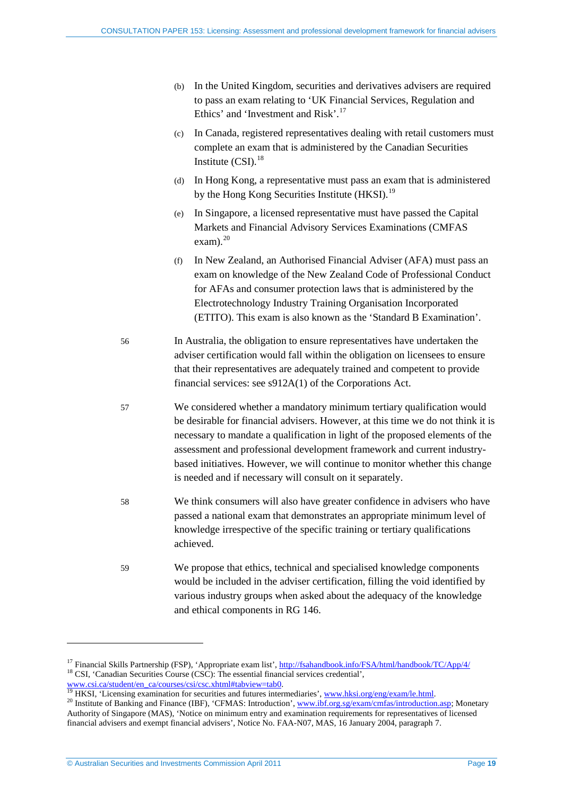- (b) In the United Kingdom, securities and derivatives advisers are required to pass an exam relating to 'UK Financial Services, Regulation and Ethics' and 'Investment and Risk'.<sup>[17](#page-18-0)</sup>
- (c) In Canada, registered representatives dealing with retail customers must complete an exam that is administered by the Canadian Securities Institute (CSI). [18](#page-18-1)
- (d) In Hong Kong, a representative must pass an exam that is administered by the Hong Kong Securities Institute (HKSI).<sup>[19](#page-18-2)</sup>
- (e) In Singapore, a licensed representative must have passed the Capital Markets and Financial Advisory Services Examinations (CMFAS exam). $^{20}$  $^{20}$  $^{20}$
- (f) In New Zealand, an Authorised Financial Adviser (AFA) must pass an exam on knowledge of the New Zealand Code of Professional Conduct for AFAs and consumer protection laws that is administered by the Electrotechnology Industry Training Organisation Incorporated (ETITO). This exam is also known as the 'Standard B Examination'.
- 56 In Australia, the obligation to ensure representatives have undertaken the adviser certification would fall within the obligation on licensees to ensure that their representatives are adequately trained and competent to provide financial services: see s912A(1) of the Corporations Act.
- 57 We considered whether a mandatory minimum tertiary qualification would be desirable for financial advisers. However, at this time we do not think it is necessary to mandate a qualification in light of the proposed elements of the assessment and professional development framework and current industrybased initiatives. However, we will continue to monitor whether this change is needed and if necessary will consult on it separately.
- 58 We think consumers will also have greater confidence in advisers who have passed a national exam that demonstrates an appropriate minimum level of knowledge irrespective of the specific training or tertiary qualifications achieved.
- 59 We propose that ethics, technical and specialised knowledge components would be included in the adviser certification, filling the void identified by various industry groups when asked about the adequacy of the knowledge and ethical components in RG 146.

<span id="page-18-1"></span><span id="page-18-0"></span><sup>&</sup>lt;sup>17</sup> Financial Skills Partnership (FSP), 'Appropriate exam list', <u>http://fsahandbook.info/FSA/html/handbook/TC/App/4/</u> <sup>18</sup> CSI, 'Canadian Securities Course (CSC): The essential financial services credential', www.csi.ca

<span id="page-18-3"></span><span id="page-18-2"></span><sup>&</sup>lt;sup>19</sup> HKSI, 'Licensing examination for securities and futures intermediaries'[, www.hksi.org/eng/exam/le.html.](http://www.hksi.org/eng/exam/le.html)<br><sup>20</sup> Institute of Banking and Finance (IBF), 'CFMAS: Introduction'[, www.ibf.org.sg/exam/cmfas/introduction.asp;](http://www.ibf.org.sg/exam/cmfas/introduction.asp) M Authority of Singapore (MAS), 'Notice on minimum entry and examination requirements for representatives of licensed financial advisers and exempt financial advisers', Notice No. FAA-N07, MAS, 16 January 2004, paragraph 7.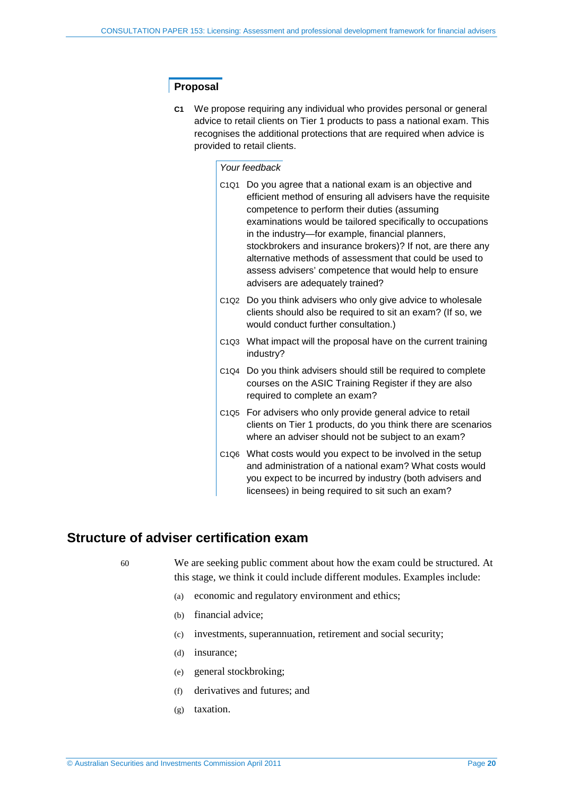### **Proposal**

**C1** We propose requiring any individual who provides personal or general advice to retail clients on Tier 1 products to pass a national exam. This recognises the additional protections that are required when advice is provided to retail clients.

### *Your feedback*

- C1Q1 Do you agree that a national exam is an objective and efficient method of ensuring all advisers have the requisite competence to perform their duties (assuming examinations would be tailored specifically to occupations in the industry—for example, financial planners, stockbrokers and insurance brokers)? If not, are there any alternative methods of assessment that could be used to assess advisers' competence that would help to ensure advisers are adequately trained?
- C1Q2 Do you think advisers who only give advice to wholesale clients should also be required to sit an exam? (If so, we would conduct further consultation.)
- C1Q3 What impact will the proposal have on the current training industry?
- C1Q4 Do you think advisers should still be required to complete courses on the ASIC Training Register if they are also required to complete an exam?
- C1Q5 For advisers who only provide general advice to retail clients on Tier 1 products, do you think there are scenarios where an adviser should not be subject to an exam?
- C1Q6 What costs would you expect to be involved in the setup and administration of a national exam? What costs would you expect to be incurred by industry (both advisers and licensees) in being required to sit such an exam?

## <span id="page-19-1"></span><span id="page-19-0"></span>**Structure of adviser certification exam**

60 We are seeking public comment about how the exam could be structured. At this stage, we think it could include different modules. Examples include:

- (a) economic and regulatory environment and ethics;
- (b) financial advice;
- (c) investments, superannuation, retirement and social security;
- (d) insurance;
- (e) general stockbroking;
- (f) derivatives and futures; and
- (g) taxation.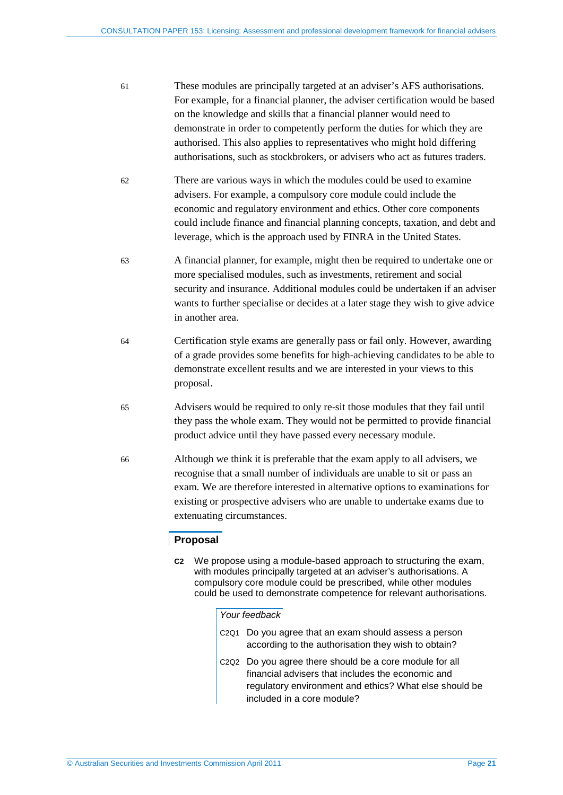- 61 These modules are principally targeted at an adviser's AFS authorisations. For example, for a financial planner, the adviser certification would be based on the knowledge and skills that a financial planner would need to demonstrate in order to competently perform the duties for which they are authorised. This also applies to representatives who might hold differing authorisations, such as stockbrokers, or advisers who act as futures traders.
- 62 There are various ways in which the modules could be used to examine advisers. For example, a compulsory core module could include the economic and regulatory environment and ethics. Other core components could include finance and financial planning concepts, taxation, and debt and leverage, which is the approach used by FINRA in the United States.
- 63 A financial planner, for example, might then be required to undertake one or more specialised modules, such as investments, retirement and social security and insurance. Additional modules could be undertaken if an adviser wants to further specialise or decides at a later stage they wish to give advice in another area.
- 64 Certification style exams are generally pass or fail only. However, awarding of a grade provides some benefits for high-achieving candidates to be able to demonstrate excellent results and we are interested in your views to this proposal.
- 65 Advisers would be required to only re-sit those modules that they fail until they pass the whole exam. They would not be permitted to provide financial product advice until they have passed every necessary module.
- 66 Although we think it is preferable that the exam apply to all advisers, we recognise that a small number of individuals are unable to sit or pass an exam. We are therefore interested in alternative options to examinations for existing or prospective advisers who are unable to undertake exams due to extenuating circumstances.

### **Proposal**

**C2** We propose using a module-based approach to structuring the exam, with modules principally targeted at an adviser's authorisations. A compulsory core module could be prescribed, while other modules could be used to demonstrate competence for relevant authorisations.

### *Your feedback*

- C2Q1 Do you agree that an exam should assess a person according to the authorisation they wish to obtain?
- C2Q2 Do you agree there should be a core module for all financial advisers that includes the economic and regulatory environment and ethics? What else should be included in a core module?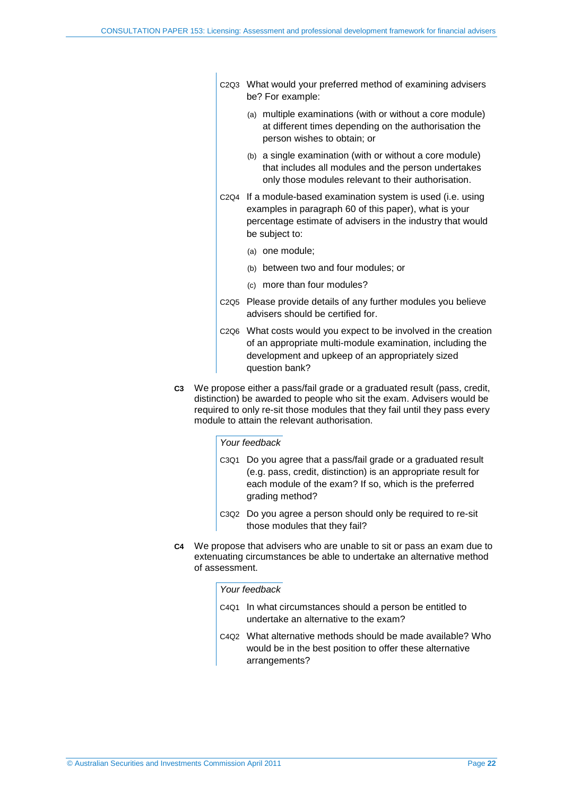- C2Q3 What would your preferred method of examining advisers be? For example:
	- (a) multiple examinations (with or without a core module) at different times depending on the authorisation the person wishes to obtain; or
	- (b) a single examination (with or without a core module) that includes all modules and the person undertakes only those modules relevant to their authorisation.
- C2Q4 If a module-based examination system is used (i.e. using examples in paragraph [60](#page-19-1) of this paper), what is your percentage estimate of advisers in the industry that would be subject to:
	- (a) one module;
	- (b) between two and four modules; or
	- (c) more than four modules?
- C2Q5 Please provide details of any further modules you believe advisers should be certified for.
- C2Q6 What costs would you expect to be involved in the creation of an appropriate multi-module examination, including the development and upkeep of an appropriately sized question bank?
- **C3** We propose either a pass/fail grade or a graduated result (pass, credit, distinction) be awarded to people who sit the exam. Advisers would be required to only re-sit those modules that they fail until they pass every module to attain the relevant authorisation.

### *Your feedback*

- C3Q1 Do you agree that a pass/fail grade or a graduated result (e.g. pass, credit, distinction) is an appropriate result for each module of the exam? If so, which is the preferred grading method?
- C3Q2 Do you agree a person should only be required to re-sit those modules that they fail?
- **C4** We propose that advisers who are unable to sit or pass an exam due to extenuating circumstances be able to undertake an alternative method of assessment.

### *Your feedback*

- C4Q1 In what circumstances should a person be entitled to undertake an alternative to the exam?
- C4Q2 What alternative methods should be made available? Who would be in the best position to offer these alternative arrangements?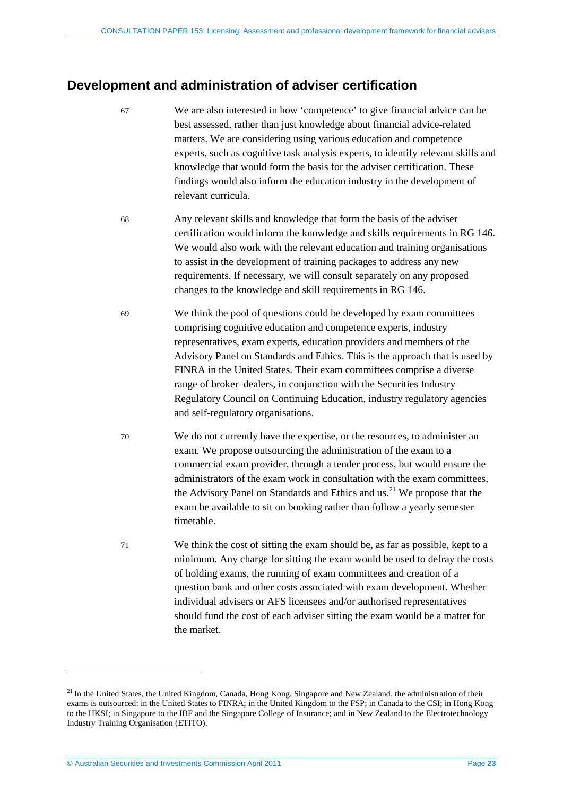## <span id="page-22-0"></span>**Development and administration of adviser certification**

- 67 We are also interested in how 'competence' to give financial advice can be best assessed, rather than just knowledge about financial advice-related matters. We are considering using various education and competence experts, such as cognitive task analysis experts, to identify relevant skills and knowledge that would form the basis for the adviser certification. These findings would also inform the education industry in the development of relevant curricula.
- 68 Any relevant skills and knowledge that form the basis of the adviser certification would inform the knowledge and skills requirements in RG 146. We would also work with the relevant education and training organisations to assist in the development of training packages to address any new requirements. If necessary, we will consult separately on any proposed changes to the knowledge and skill requirements in RG 146.
- 69 We think the pool of questions could be developed by exam committees comprising cognitive education and competence experts, industry representatives, exam experts, education providers and members of the Advisory Panel on Standards and Ethics. This is the approach that is used by FINRA in the United States. Their exam committees comprise a diverse range of broker–dealers, in conjunction with the Securities Industry Regulatory Council on Continuing Education, industry regulatory agencies and self-regulatory organisations.
- 70 We do not currently have the expertise, or the resources, to administer an exam. We propose outsourcing the administration of the exam to a commercial exam provider, through a tender process, but would ensure the administrators of the exam work in consultation with the exam committees, the Advisory Panel on Standards and Ethics and us.<sup>[21](#page-22-1)</sup> We propose that the exam be available to sit on booking rather than follow a yearly semester timetable.
- 71 We think the cost of sitting the exam should be, as far as possible, kept to a minimum. Any charge for sitting the exam would be used to defray the costs of holding exams, the running of exam committees and creation of a question bank and other costs associated with exam development. Whether individual advisers or AFS licensees and/or authorised representatives should fund the cost of each adviser sitting the exam would be a matter for the market.

<span id="page-22-1"></span><sup>&</sup>lt;sup>21</sup> In the United States, the United Kingdom, Canada, Hong Kong, Singapore and New Zealand, the administration of their exams is outsourced: in the United States to FINRA; in the United Kingdom to the FSP; in Canada to the CSI; in Hong Kong to the HKSI; in Singapore to the IBF and the Singapore College of Insurance; and in New Zealand to the Electrotechnology Industry Training Organisation (ETITO).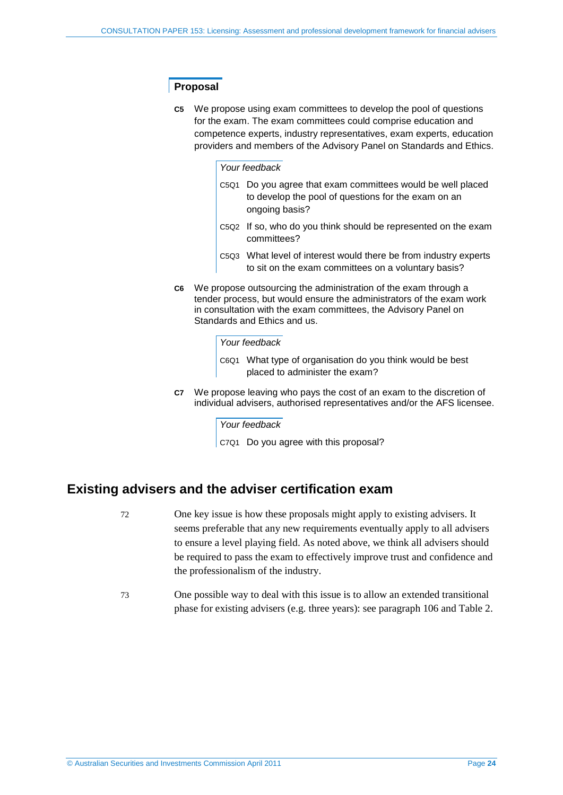### **Proposal**

**C5** We propose using exam committees to develop the pool of questions for the exam. The exam committees could comprise education and competence experts, industry representatives, exam experts, education providers and members of the Advisory Panel on Standards and Ethics.

### *Your feedback*

- C5Q1 Do you agree that exam committees would be well placed to develop the pool of questions for the exam on an ongoing basis?
- C5Q2 If so, who do you think should be represented on the exam committees?
- C5Q3 What level of interest would there be from industry experts to sit on the exam committees on a voluntary basis?
- **C6** We propose outsourcing the administration of the exam through a tender process, but would ensure the administrators of the exam work in consultation with the exam committees, the Advisory Panel on Standards and Ethics and us.

#### *Your feedback*

C6Q1 What type of organisation do you think would be best placed to administer the exam?

**C7** We propose leaving who pays the cost of an exam to the discretion of individual advisers, authorised representatives and/or the AFS licensee.

### *Your feedback*

C7Q1 Do you agree with this proposal?

### <span id="page-23-0"></span>**Existing advisers and the adviser certification exam**

- 72 One key issue is how these proposals might apply to existing advisers. It seems preferable that any new requirements eventually apply to all advisers to ensure a level playing field. As noted above, we think all advisers should be required to pass the exam to effectively improve trust and confidence and the professionalism of the industry.
- 73 One possible way to deal with this issue is to allow an extended transitional phase for existing advisers (e.g. three years): see paragraph [106](#page-37-2) and [Table 2.](#page-37-1)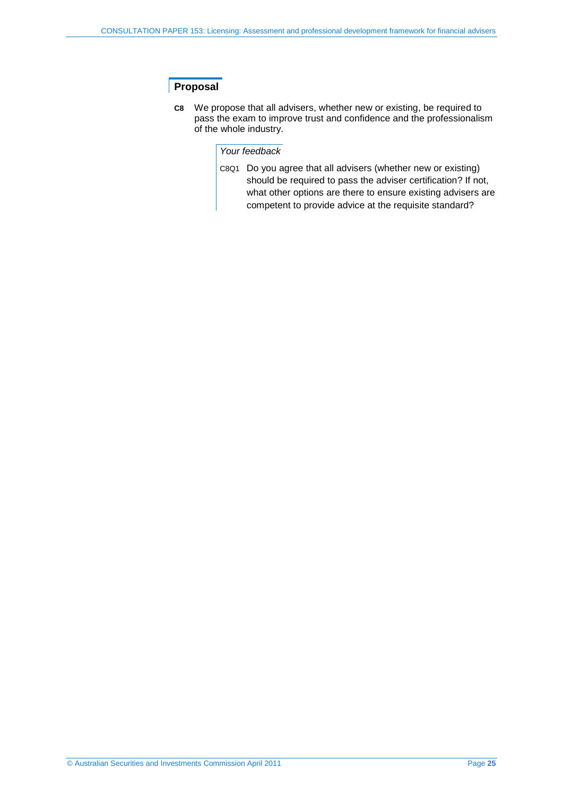### **Proposal**

**C8** We propose that all advisers, whether new or existing, be required to pass the exam to improve trust and confidence and the professionalism of the whole industry.

### *Your feedback*

C8Q1 Do you agree that all advisers (whether new or existing) should be required to pass the adviser certification? If not, what other options are there to ensure existing advisers are competent to provide advice at the requisite standard?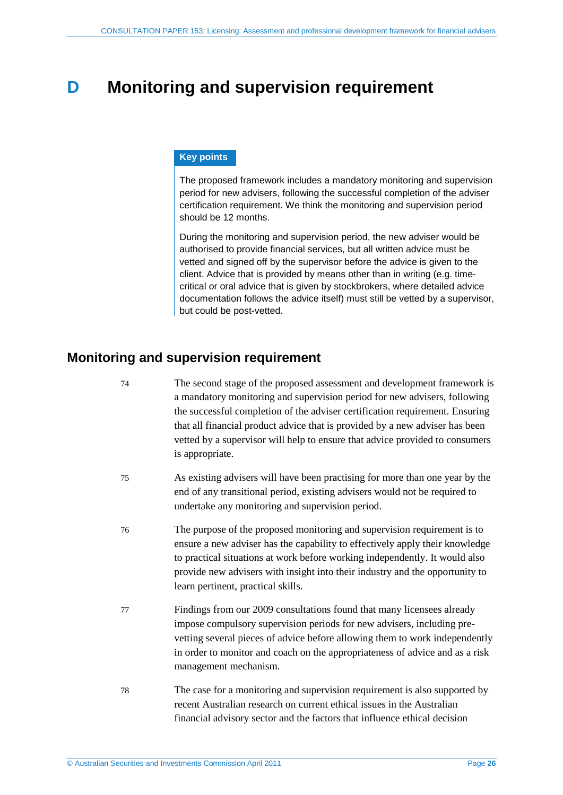## <span id="page-25-0"></span>**D Monitoring and supervision requirement**

### **Key points**

The proposed framework includes a mandatory monitoring and supervision period for new advisers, following the successful completion of the adviser certification requirement. We think the monitoring and supervision period should be 12 months.

During the monitoring and supervision period, the new adviser would be authorised to provide financial services, but all written advice must be vetted and signed off by the supervisor before the advice is given to the client. Advice that is provided by means other than in writing (e.g. timecritical or oral advice that is given by stockbrokers, where detailed advice documentation follows the advice itself) must still be vetted by a supervisor, but could be post-vetted.

## <span id="page-25-1"></span>**Monitoring and supervision requirement**

- 74 The second stage of the proposed assessment and development framework is a mandatory monitoring and supervision period for new advisers, following the successful completion of the adviser certification requirement. Ensuring that all financial product advice that is provided by a new adviser has been vetted by a supervisor will help to ensure that advice provided to consumers is appropriate.
- 75 As existing advisers will have been practising for more than one year by the end of any transitional period, existing advisers would not be required to undertake any monitoring and supervision period.
- 76 The purpose of the proposed monitoring and supervision requirement is to ensure a new adviser has the capability to effectively apply their knowledge to practical situations at work before working independently. It would also provide new advisers with insight into their industry and the opportunity to learn pertinent, practical skills.
- 77 Findings from our 2009 consultations found that many licensees already impose compulsory supervision periods for new advisers, including prevetting several pieces of advice before allowing them to work independently in order to monitor and coach on the appropriateness of advice and as a risk management mechanism.
- 78 The case for a monitoring and supervision requirement is also supported by recent Australian research on current ethical issues in the Australian financial advisory sector and the factors that influence ethical decision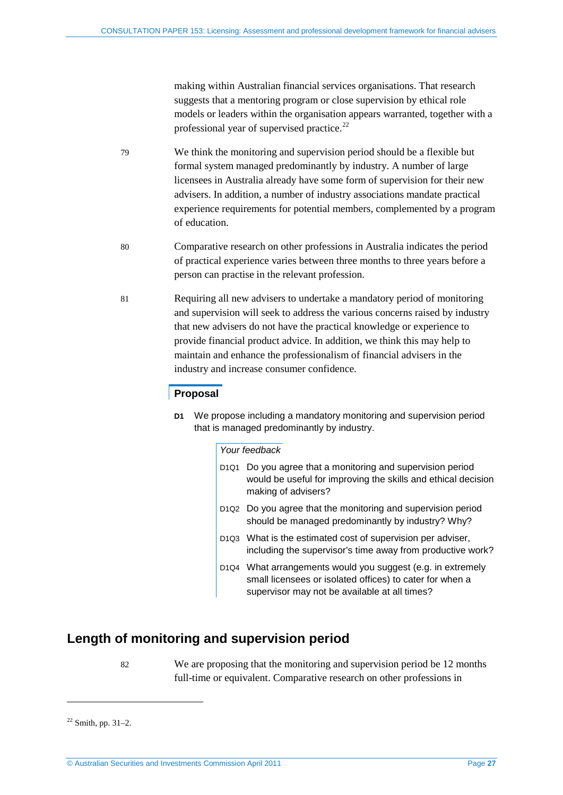making within Australian financial services organisations. That research suggests that a mentoring program or close supervision by ethical role models or leaders within the organisation appears warranted, together with a professional year of supervised practice.<sup>[22](#page-26-1)</sup>

- 79 We think the monitoring and supervision period should be a flexible but formal system managed predominantly by industry. A number of large licensees in Australia already have some form of supervision for their new advisers. In addition, a number of industry associations mandate practical experience requirements for potential members, complemented by a program of education.
- 80 Comparative research on other professions in Australia indicates the period of practical experience varies between three months to three years before a person can practise in the relevant profession.
- 81 Requiring all new advisers to undertake a mandatory period of monitoring and supervision will seek to address the various concerns raised by industry that new advisers do not have the practical knowledge or experience to provide financial product advice. In addition, we think this may help to maintain and enhance the professionalism of financial advisers in the industry and increase consumer confidence.

### **Proposal**

**D1** We propose including a mandatory monitoring and supervision period that is managed predominantly by industry.

### *Your feedback*

| D <sub>1Q1</sub> Do you agree that a monitoring and supervision period<br>would be useful for improving the skills and ethical decision<br>making of advisers?           |
|--------------------------------------------------------------------------------------------------------------------------------------------------------------------------|
| D <sub>1</sub> Q <sub>2</sub> Do you agree that the monitoring and supervision period<br>should be managed predominantly by industry? Why?                               |
| D1Q3 What is the estimated cost of supervision per adviser,<br>including the supervisor's time away from productive work?                                                |
| D1Q4 What arrangements would you suggest (e.g. in extremely<br>small licensees or isolated offices) to cater for when a<br>supervisor may not be available at all times? |

## <span id="page-26-0"></span>**Length of monitoring and supervision period**

82 We are proposing that the monitoring and supervision period be 12 months full-time or equivalent. Comparative research on other professions in

<u>.</u>

<span id="page-26-1"></span> $22$  Smith, pp. 31–2.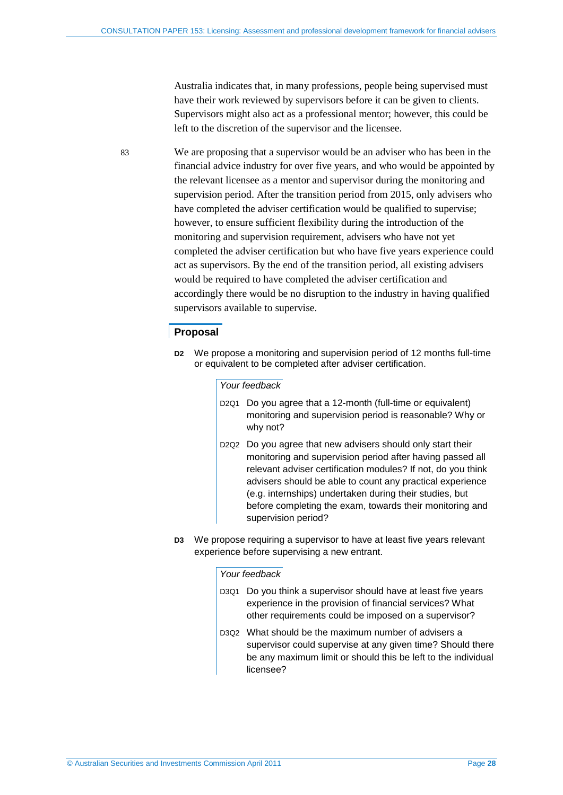Australia indicates that, in many professions, people being supervised must have their work reviewed by supervisors before it can be given to clients. Supervisors might also act as a professional mentor; however, this could be left to the discretion of the supervisor and the licensee.

83 We are proposing that a supervisor would be an adviser who has been in the financial advice industry for over five years, and who would be appointed by the relevant licensee as a mentor and supervisor during the monitoring and supervision period. After the transition period from 2015, only advisers who have completed the adviser certification would be qualified to supervise; however, to ensure sufficient flexibility during the introduction of the monitoring and supervision requirement, advisers who have not yet completed the adviser certification but who have five years experience could act as supervisors. By the end of the transition period, all existing advisers would be required to have completed the adviser certification and accordingly there would be no disruption to the industry in having qualified supervisors available to supervise.

### **Proposal**

**D2** We propose a monitoring and supervision period of 12 months full-time or equivalent to be completed after adviser certification.

### *Your feedback*

- D2Q1 Do you agree that a 12-month (full-time or equivalent) monitoring and supervision period is reasonable? Why or why not?
- D2Q2 Do you agree that new advisers should only start their monitoring and supervision period after having passed all relevant adviser certification modules? If not, do you think advisers should be able to count any practical experience (e.g. internships) undertaken during their studies, but before completing the exam, towards their monitoring and supervision period?
- **D3** We propose requiring a supervisor to have at least five years relevant experience before supervising a new entrant.

### *Your feedback*

- D3Q1 Do you think a supervisor should have at least five years experience in the provision of financial services? What other requirements could be imposed on a supervisor?
- D3Q2 What should be the maximum number of advisers a supervisor could supervise at any given time? Should there be any maximum limit or should this be left to the individual licensee?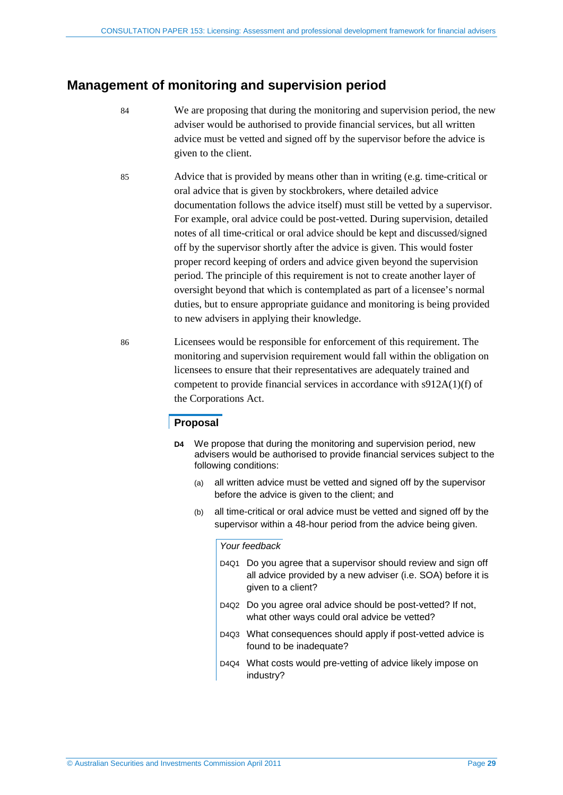## <span id="page-28-0"></span>**Management of monitoring and supervision period**

- 84 We are proposing that during the monitoring and supervision period, the new adviser would be authorised to provide financial services, but all written advice must be vetted and signed off by the supervisor before the advice is given to the client.
- 85 Advice that is provided by means other than in writing (e.g. time-critical or oral advice that is given by stockbrokers, where detailed advice documentation follows the advice itself) must still be vetted by a supervisor. For example, oral advice could be post-vetted. During supervision, detailed notes of all time-critical or oral advice should be kept and discussed/signed off by the supervisor shortly after the advice is given. This would foster proper record keeping of orders and advice given beyond the supervision period. The principle of this requirement is not to create another layer of oversight beyond that which is contemplated as part of a licensee's normal duties, but to ensure appropriate guidance and monitoring is being provided to new advisers in applying their knowledge.
- 86 Licensees would be responsible for enforcement of this requirement. The monitoring and supervision requirement would fall within the obligation on licensees to ensure that their representatives are adequately trained and competent to provide financial services in accordance with s912A(1)(f) of the Corporations Act.

### **Proposal**

- **D4** We propose that during the monitoring and supervision period, new advisers would be authorised to provide financial services subject to the following conditions:
	- (a) all written advice must be vetted and signed off by the supervisor before the advice is given to the client; and
	- (b) all time-critical or oral advice must be vetted and signed off by the supervisor within a 48-hour period from the advice being given.

### *Your feedback*

- D4Q1 Do you agree that a supervisor should review and sign off all advice provided by a new adviser (i.e. SOA) before it is given to a client?
- D4Q2 Do you agree oral advice should be post-vetted? If not, what other ways could oral advice be vetted?
- D4Q3 What consequences should apply if post-vetted advice is found to be inadequate?
- D4Q4 What costs would pre-vetting of advice likely impose on industry?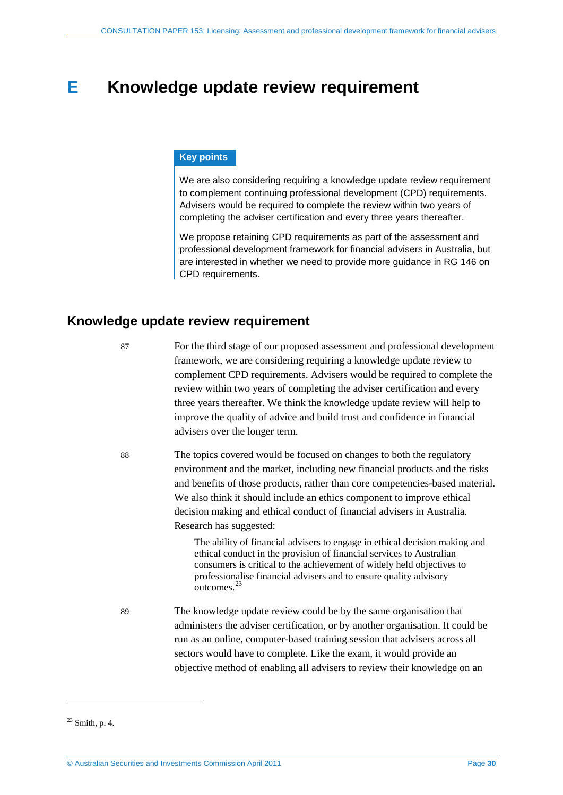## <span id="page-29-0"></span>**E Knowledge update review requirement**

### **Key points**

We are also considering requiring a knowledge update review requirement to complement continuing professional development (CPD) requirements. Advisers would be required to complete the review within two years of completing the adviser certification and every three years thereafter.

We propose retaining CPD requirements as part of the assessment and professional development framework for financial advisers in Australia, but are interested in whether we need to provide more guidance in RG 146 on CPD requirements.

### <span id="page-29-1"></span>**Knowledge update review requirement**

87 For the third stage of our proposed assessment and professional development framework, we are considering requiring a knowledge update review to complement CPD requirements. Advisers would be required to complete the review within two years of completing the adviser certification and every three years thereafter. We think the knowledge update review will help to improve the quality of advice and build trust and confidence in financial advisers over the longer term.

88 The topics covered would be focused on changes to both the regulatory environment and the market, including new financial products and the risks and benefits of those products, rather than core competencies-based material. We also think it should include an ethics component to improve ethical decision making and ethical conduct of financial advisers in Australia. Research has suggested:

> The ability of financial advisers to engage in ethical decision making and ethical conduct in the provision of financial services to Australian consumers is critical to the achievement of widely held objectives to professionalise financial advisers and to ensure quality advisory outcomes.<sup>[23](#page-29-2)</sup>

89 The knowledge update review could be by the same organisation that administers the adviser certification, or by another organisation. It could be run as an online, computer-based training session that advisers across all sectors would have to complete. Like the exam, it would provide an objective method of enabling all advisers to review their knowledge on an

<u>.</u>

<span id="page-29-2"></span> $23$  Smith, p. 4.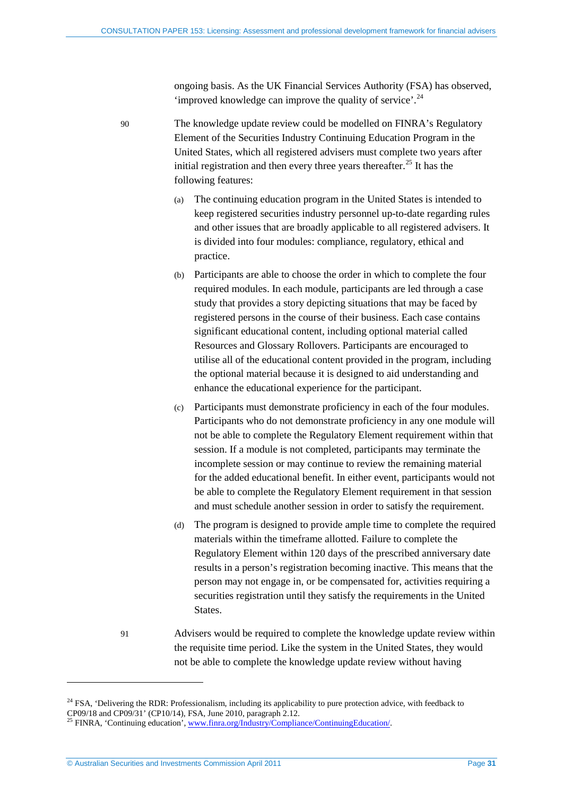ongoing basis. As the UK Financial Services Authority (FSA) has observed, 'improved knowledge can improve the quality of service'.<sup>[24](#page-30-0)</sup>

90 The knowledge update review could be modelled on FINRA's Regulatory Element of the Securities Industry Continuing Education Program in the United States, which all registered advisers must complete two years after initial registration and then every three years thereafter.<sup>[25](#page-30-1)</sup> It has the following features:

- (a) The continuing education program in the United States is intended to keep registered securities industry personnel up-to-date regarding rules and other issues that are broadly applicable to all registered advisers. It is divided into four modules: compliance, regulatory, ethical and practice.
- (b) Participants are able to choose the order in which to complete the four required modules. In each module, participants are led through a case study that provides a story depicting situations that may be faced by registered persons in the course of their business. Each case contains significant educational content, including optional material called Resources and Glossary Rollovers. Participants are encouraged to utilise all of the educational content provided in the program, including the optional material because it is designed to aid understanding and enhance the educational experience for the participant.
- (c) Participants must demonstrate proficiency in each of the four modules. Participants who do not demonstrate proficiency in any one module will not be able to complete the Regulatory Element requirement within that session. If a module is not completed, participants may terminate the incomplete session or may continue to review the remaining material for the added educational benefit. In either event, participants would not be able to complete the Regulatory Element requirement in that session and must schedule another session in order to satisfy the requirement.
- (d) The program is designed to provide ample time to complete the required materials within the timeframe allotted. Failure to complete the Regulatory Element within 120 days of the prescribed anniversary date results in a person's registration becoming inactive. This means that the person may not engage in, or be compensated for, activities requiring a securities registration until they satisfy the requirements in the United States.
- 91 Advisers would be required to complete the knowledge update review within the requisite time period. Like the system in the United States, they would not be able to complete the knowledge update review without having

<u>.</u>

<span id="page-30-0"></span><sup>&</sup>lt;sup>24</sup> FSA, 'Delivering the RDR: Professionalism, including its applicability to pure protection advice, with feedback to CP09/18 and CP09/31' (CP10/14), FSA, June 2010, paragraph 2.12.<br><sup>25</sup> FINRA, 'Continuing education', [www.finra.org/Industry/Compliance/ContinuingEducation/.](http://www.finra.org/Industry/Compliance/ContinuingEducation/)

<span id="page-30-1"></span>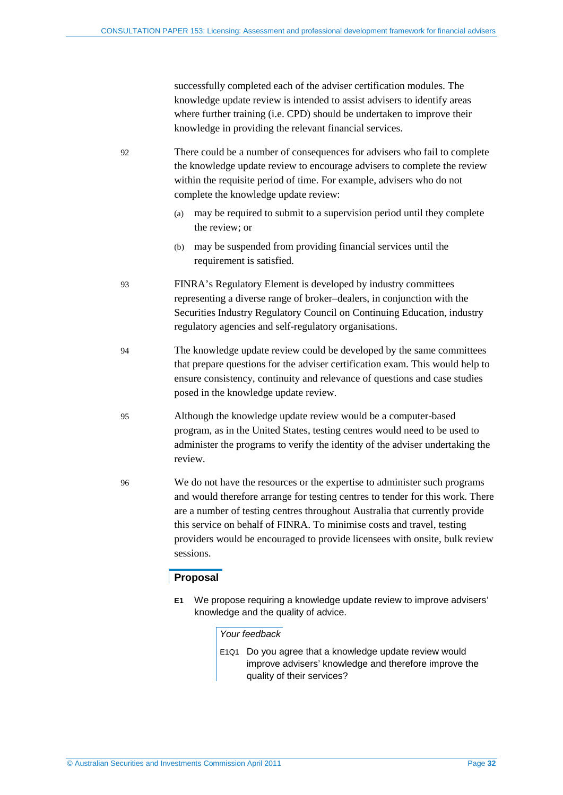successfully completed each of the adviser certification modules. The knowledge update review is intended to assist advisers to identify areas where further training (i.e. CPD) should be undertaken to improve their knowledge in providing the relevant financial services.

<span id="page-31-0"></span>92 There could be a number of consequences for advisers who fail to complete the knowledge update review to encourage advisers to complete the review within the requisite period of time. For example, advisers who do not complete the knowledge update review:

- (a) may be required to submit to a supervision period until they complete the review; or
- (b) may be suspended from providing financial services until the requirement is satisfied.
- 93 FINRA's Regulatory Element is developed by industry committees representing a diverse range of broker–dealers, in conjunction with the Securities Industry Regulatory Council on Continuing Education, industry regulatory agencies and self-regulatory organisations.
- 94 The knowledge update review could be developed by the same committees that prepare questions for the adviser certification exam. This would help to ensure consistency, continuity and relevance of questions and case studies posed in the knowledge update review.
- 95 Although the knowledge update review would be a computer-based program, as in the United States, testing centres would need to be used to administer the programs to verify the identity of the adviser undertaking the review.
- 96 We do not have the resources or the expertise to administer such programs and would therefore arrange for testing centres to tender for this work. There are a number of testing centres throughout Australia that currently provide this service on behalf of FINRA. To minimise costs and travel, testing providers would be encouraged to provide licensees with onsite, bulk review sessions.

### **Proposal**

**E1** We propose requiring a knowledge update review to improve advisers' knowledge and the quality of advice.

### *Your feedback*

E1Q1 Do you agree that a knowledge update review would improve advisers' knowledge and therefore improve the quality of their services?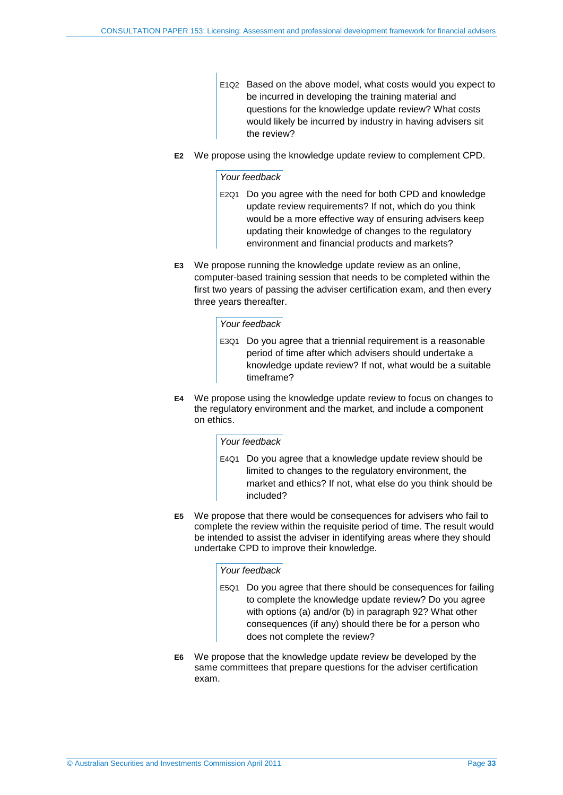- E1Q2 Based on the above model, what costs would you expect to be incurred in developing the training material and questions for the knowledge update review? What costs would likely be incurred by industry in having advisers sit the review?
- **E2** We propose using the knowledge update review to complement CPD.

### *Your feedback*

- E2Q1 Do you agree with the need for both CPD and knowledge update review requirements? If not, which do you think would be a more effective way of ensuring advisers keep updating their knowledge of changes to the regulatory environment and financial products and markets?
- **E3** We propose running the knowledge update review as an online, computer-based training session that needs to be completed within the first two years of passing the adviser certification exam, and then every three years thereafter.

### *Your feedback*

- E3Q1 Do you agree that a triennial requirement is a reasonable period of time after which advisers should undertake a knowledge update review? If not, what would be a suitable timeframe?
- **E4** We propose using the knowledge update review to focus on changes to the regulatory environment and the market, and include a component on ethics.

### *Your feedback*

- E4Q1 Do you agree that a knowledge update review should be limited to changes to the regulatory environment, the market and ethics? If not, what else do you think should be included?
- **E5** We propose that there would be consequences for advisers who fail to complete the review within the requisite period of time. The result would be intended to assist the adviser in identifying areas where they should undertake CPD to improve their knowledge.

### *Your feedback*

- E5Q1 Do you agree that there should be consequences for failing to complete the knowledge update review? Do you agree with options (a) and/or (b) in paragraph [92?](#page-31-0) What other consequences (if any) should there be for a person who does not complete the review?
- **E6** We propose that the knowledge update review be developed by the same committees that prepare questions for the adviser certification exam.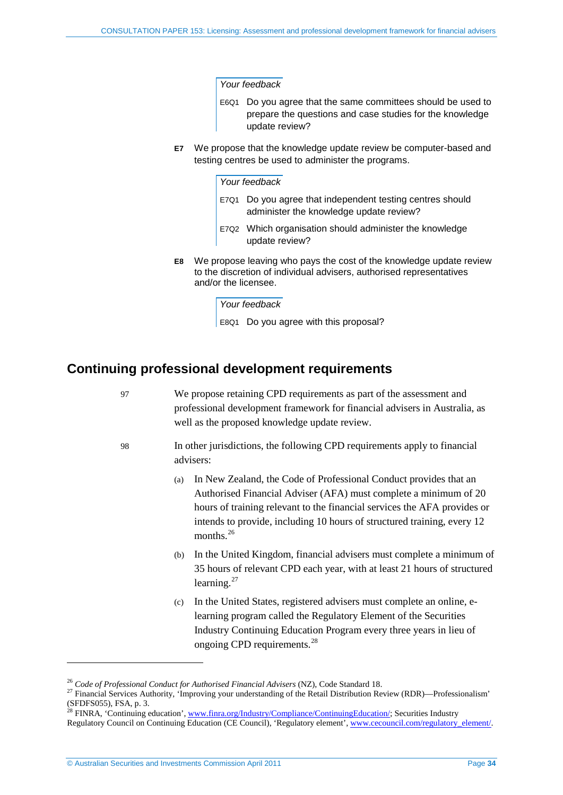#### *Your feedback*

- E6Q1 Do you agree that the same committees should be used to prepare the questions and case studies for the knowledge update review?
- **E7** We propose that the knowledge update review be computer-based and testing centres be used to administer the programs.

### *Your feedback*

- E7Q1 Do you agree that independent testing centres should administer the knowledge update review?
- E7Q2 Which organisation should administer the knowledge update review?
- **E8** We propose leaving who pays the cost of the knowledge update review to the discretion of individual advisers, authorised representatives and/or the licensee.

*Your feedback* E8Q1 Do you agree with this proposal?

### <span id="page-33-0"></span>**Continuing professional development requirements**

97 We propose retaining CPD requirements as part of the assessment and professional development framework for financial advisers in Australia, as well as the proposed knowledge update review. 98 In other jurisdictions, the following CPD requirements apply to financial advisers: (a) In New Zealand, the Code of Professional Conduct provides that an Authorised Financial Adviser (AFA) must complete a minimum of 20 hours of training relevant to the financial services the AFA provides or intends to provide, including 10 hours of structured training, every 12 months.<sup>[26](#page-33-1)</sup> (b) In the United Kingdom, financial advisers must complete a minimum of 35 hours of relevant CPD each year, with at least 21 hours of structured learning.<sup>[27](#page-33-2)</sup> (c) In the United States, registered advisers must complete an online, elearning program called the Regulatory Element of the Securities Industry Continuing Education Program every three years in lieu of ongoing CPD requirements.<sup>[28](#page-33-3)</sup>

<span id="page-33-2"></span>

<span id="page-33-1"></span><sup>&</sup>lt;sup>26</sup> *Code of Professional Conduct for Authorised Financial Advisers* (NZ), Code Standard 18.<br><sup>27</sup> Financial Services Authority, 'Improving your understanding of the Retail Distribution Review (RDR)—Professionalism' (SFDFS055), FSA, p. 3.

<span id="page-33-3"></span><sup>&</sup>lt;sup>28</sup> FINRA, 'Continuing education', [www.finra.org/Industry/Compliance/ContinuingEducation/;](http://www.finra.org/Industry/Compliance/ContinuingEducation/) Securities Industry Regulatory Council on Continuing Education (CE Council), 'Regulatory element'[, www.cecouncil.com/regulatory\\_element/.](http://www.cecouncil.com/regulatory_element/)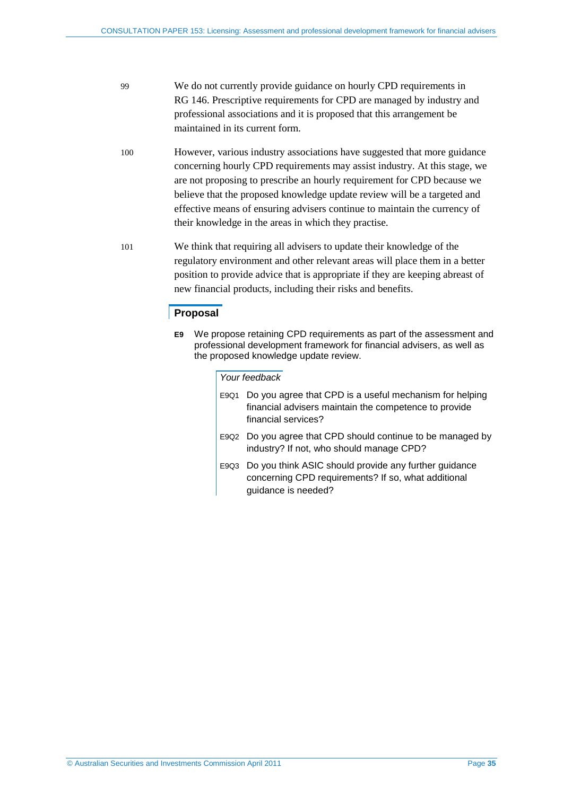- 99 We do not currently provide guidance on hourly CPD requirements in RG 146. Prescriptive requirements for CPD are managed by industry and professional associations and it is proposed that this arrangement be maintained in its current form.
- 100 However, various industry associations have suggested that more guidance concerning hourly CPD requirements may assist industry. At this stage, we are not proposing to prescribe an hourly requirement for CPD because we believe that the proposed knowledge update review will be a targeted and effective means of ensuring advisers continue to maintain the currency of their knowledge in the areas in which they practise.
- 101 We think that requiring all advisers to update their knowledge of the regulatory environment and other relevant areas will place them in a better position to provide advice that is appropriate if they are keeping abreast of new financial products, including their risks and benefits.

### **Proposal**

**E9** We propose retaining CPD requirements as part of the assessment and professional development framework for financial advisers, as well as the proposed knowledge update review.

#### *Your feedback*

| E9Q1 Do you agree that CPD is a useful mechanism for helping<br>financial advisers maintain the competence to provide<br>financial services? |
|----------------------------------------------------------------------------------------------------------------------------------------------|
| Fent Do vou agree that CPD should continue to be managed by                                                                                  |

- E9Q2 Do you agree that CPD should continue to be managed by industry? If not, who should manage CPD?
- E9Q3 Do you think ASIC should provide any further guidance concerning CPD requirements? If so, what additional guidance is needed?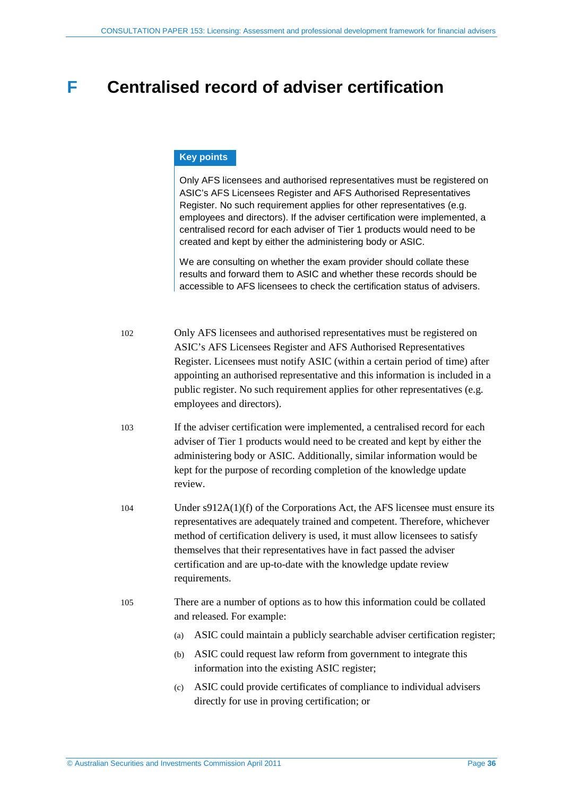## <span id="page-35-0"></span>**F Centralised record of adviser certification**

### **Key points**

Only AFS licensees and authorised representatives must be registered on ASIC's AFS Licensees Register and AFS Authorised Representatives Register. No such requirement applies for other representatives (e.g. employees and directors). If the adviser certification were implemented, a centralised record for each adviser of Tier 1 products would need to be created and kept by either the administering body or ASIC.

We are consulting on whether the exam provider should collate these results and forward them to ASIC and whether these records should be accessible to AFS licensees to check the certification status of advisers.

| 102 | Only AFS licensees and authorised representatives must be registered on<br>ASIC's AFS Licensees Register and AFS Authorised Representatives<br>Register. Licensees must notify ASIC (within a certain period of time) after<br>appointing an authorised representative and this information is included in a<br>public register. No such requirement applies for other representatives (e.g.<br>employees and directors). |
|-----|---------------------------------------------------------------------------------------------------------------------------------------------------------------------------------------------------------------------------------------------------------------------------------------------------------------------------------------------------------------------------------------------------------------------------|
| 103 | If the adviser certification were implemented, a centralised record for each<br>adviser of Tier 1 products would need to be created and kept by either the<br>administering body or ASIC. Additionally, similar information would be<br>kept for the purpose of recording completion of the knowledge update<br>review.                                                                                                   |
| 104 | Under $s912A(1)(f)$ of the Corporations Act, the AFS licensee must ensure its<br>representatives are adequately trained and competent. Therefore, whichever<br>method of certification delivery is used, it must allow licensees to satisfy<br>themselves that their representatives have in fact passed the adviser<br>certification and are up-to-date with the knowledge update review<br>requirements.                |
| 105 | There are a number of options as to how this information could be collated<br>and released. For example:                                                                                                                                                                                                                                                                                                                  |
|     | ASIC could maintain a publicly searchable adviser certification register;<br>(a)                                                                                                                                                                                                                                                                                                                                          |
|     | ASIC could request law reform from government to integrate this<br>(b)<br>information into the existing ASIC register;                                                                                                                                                                                                                                                                                                    |
|     | ASIC could provide certificates of compliance to individual advisers<br>(c)<br>directly for use in proving certification; or                                                                                                                                                                                                                                                                                              |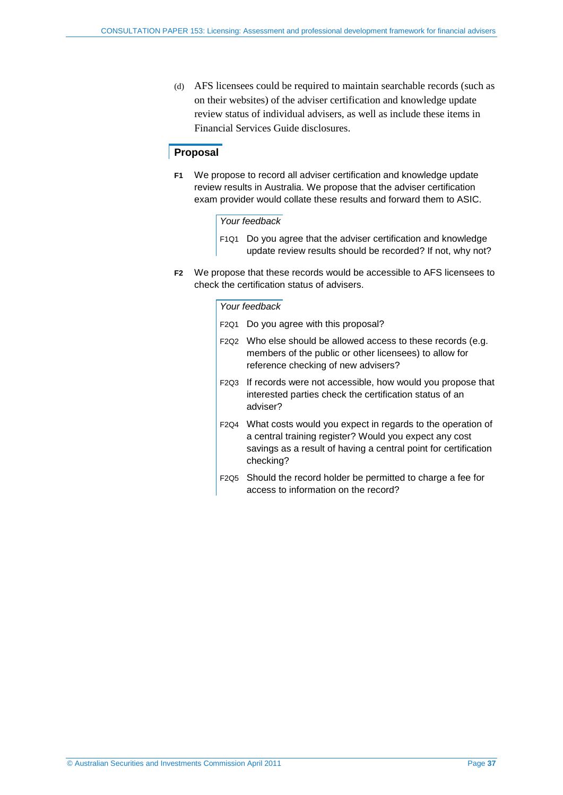(d) AFS licensees could be required to maintain searchable records (such as on their websites) of the adviser certification and knowledge update review status of individual advisers, as well as include these items in Financial Services Guide disclosures.

### **Proposal**

**F1** We propose to record all adviser certification and knowledge update review results in Australia. We propose that the adviser certification exam provider would collate these results and forward them to ASIC.

### *Your feedback*

- F1Q1 Do you agree that the adviser certification and knowledge update review results should be recorded? If not, why not?
- **F2** We propose that these records would be accessible to AFS licensees to check the certification status of advisers.

### *Your feedback*

| F2Q1 | Do you agree with this proposal?                                                                                                                                                                          |
|------|-----------------------------------------------------------------------------------------------------------------------------------------------------------------------------------------------------------|
|      | F2Q2 Who else should be allowed access to these records (e.g.<br>members of the public or other licensees) to allow for<br>reference checking of new advisers?                                            |
|      | F2Q3 If records were not accessible, how would you propose that<br>interested parties check the certification status of an<br>adviser?                                                                    |
|      | F2Q4 What costs would you expect in regards to the operation of<br>a central training register? Would you expect any cost<br>savings as a result of having a central point for certification<br>checking? |
|      | F2Q5 Should the record holder be permitted to charge a fee for<br>access to information on the record?                                                                                                    |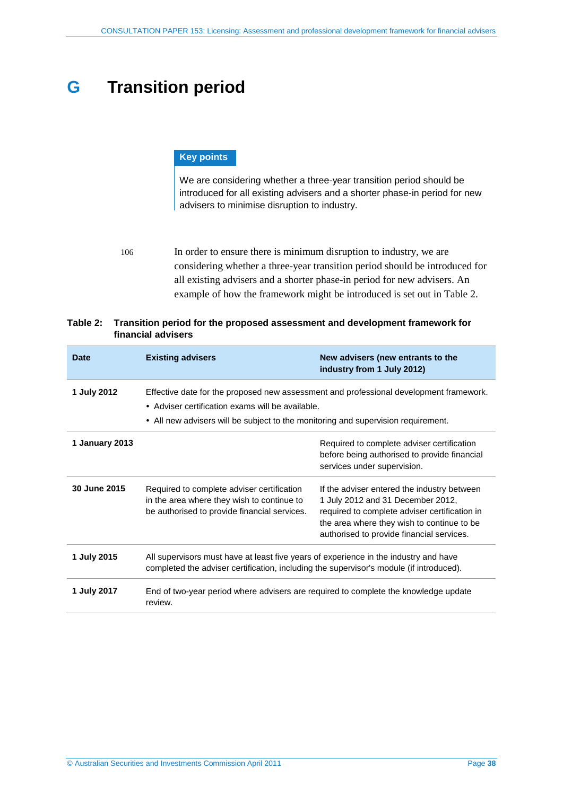# <span id="page-37-0"></span>**G Transition period**

### **Key points**

We are considering whether a three-year transition period should be introduced for all existing advisers and a shorter phase-in period for new advisers to minimise disruption to industry.

<span id="page-37-2"></span>106 In order to ensure there is minimum disruption to industry, we are considering whether a three-year transition period should be introduced for all existing advisers and a shorter phase-in period for new advisers. An example of how the framework might be introduced is set out i[n Table 2.](#page-37-1)

<span id="page-37-1"></span>

| Table 2: Transition period for the proposed assessment and development framework for |
|--------------------------------------------------------------------------------------|
| financial advisers                                                                   |

| <b>Date</b>    | <b>Existing advisers</b>                                                                                                                                                        | New advisers (new entrants to the<br>industry from 1 July 2012)                                                                                                                                                              |
|----------------|---------------------------------------------------------------------------------------------------------------------------------------------------------------------------------|------------------------------------------------------------------------------------------------------------------------------------------------------------------------------------------------------------------------------|
| 1 July 2012    | • Adviser certification exams will be available.<br>• All new advisers will be subject to the monitoring and supervision requirement.                                           | Effective date for the proposed new assessment and professional development framework.                                                                                                                                       |
| 1 January 2013 |                                                                                                                                                                                 | Required to complete adviser certification<br>before being authorised to provide financial<br>services under supervision.                                                                                                    |
| 30 June 2015   | Required to complete adviser certification<br>in the area where they wish to continue to<br>be authorised to provide financial services.                                        | If the adviser entered the industry between<br>1 July 2012 and 31 December 2012,<br>required to complete adviser certification in<br>the area where they wish to continue to be<br>authorised to provide financial services. |
| 1 July 2015    | All supervisors must have at least five years of experience in the industry and have<br>completed the adviser certification, including the supervisor's module (if introduced). |                                                                                                                                                                                                                              |
| 1 July 2017    | End of two-year period where advisers are required to complete the knowledge update<br>review.                                                                                  |                                                                                                                                                                                                                              |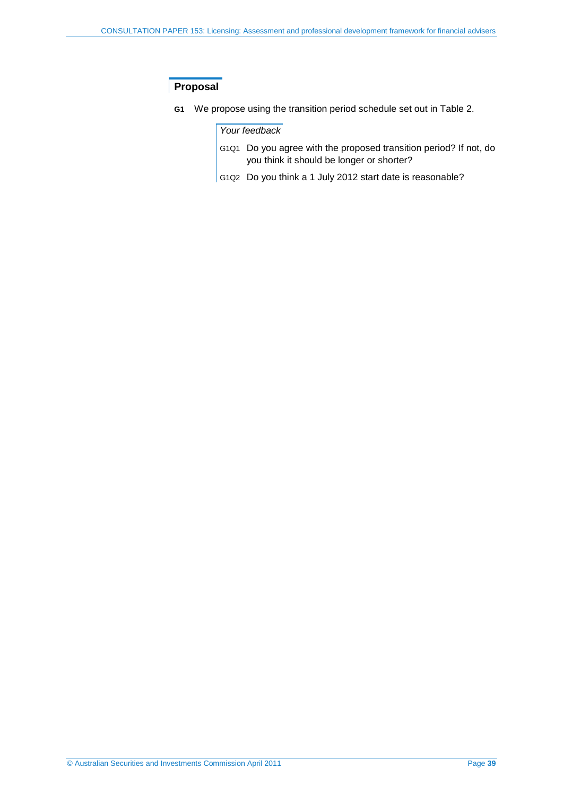## **Proposal**

**G1** We propose using the transition period schedule set out in [Table 2.](#page-37-1)

### *Your feedback*

- G1Q1 Do you agree with the proposed transition period? If not, do you think it should be longer or shorter?
- G1Q2 Do you think a 1 July 2012 start date is reasonable?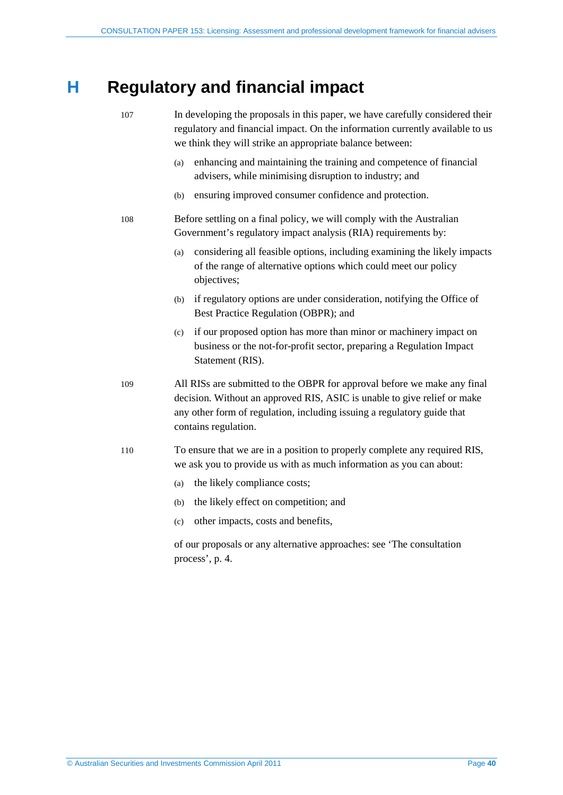## <span id="page-39-0"></span>**H Regulatory and financial impact**

| 107 |     | In developing the proposals in this paper, we have carefully considered their<br>regulatory and financial impact. On the information currently available to us<br>we think they will strike an appropriate balance between:                             |
|-----|-----|---------------------------------------------------------------------------------------------------------------------------------------------------------------------------------------------------------------------------------------------------------|
|     | (a) | enhancing and maintaining the training and competence of financial<br>advisers, while minimising disruption to industry; and                                                                                                                            |
|     | (b) | ensuring improved consumer confidence and protection.                                                                                                                                                                                                   |
| 108 |     | Before settling on a final policy, we will comply with the Australian<br>Government's regulatory impact analysis (RIA) requirements by:                                                                                                                 |
|     | (a) | considering all feasible options, including examining the likely impacts<br>of the range of alternative options which could meet our policy<br>objectives;                                                                                              |
|     | (b) | if regulatory options are under consideration, notifying the Office of<br>Best Practice Regulation (OBPR); and                                                                                                                                          |
|     | (c) | if our proposed option has more than minor or machinery impact on<br>business or the not-for-profit sector, preparing a Regulation Impact<br>Statement (RIS).                                                                                           |
| 109 |     | All RISs are submitted to the OBPR for approval before we make any final<br>decision. Without an approved RIS, ASIC is unable to give relief or make<br>any other form of regulation, including issuing a regulatory guide that<br>contains regulation. |
| 110 |     | To ensure that we are in a position to properly complete any required RIS,<br>we ask you to provide us with as much information as you can about:                                                                                                       |
|     | (a) | the likely compliance costs;                                                                                                                                                                                                                            |
|     | (b) | the likely effect on competition; and                                                                                                                                                                                                                   |
|     | (c) | other impacts, costs and benefits,                                                                                                                                                                                                                      |

of our proposals or any alternative approaches: see 'The consultation process', p. [4.](#page-3-1)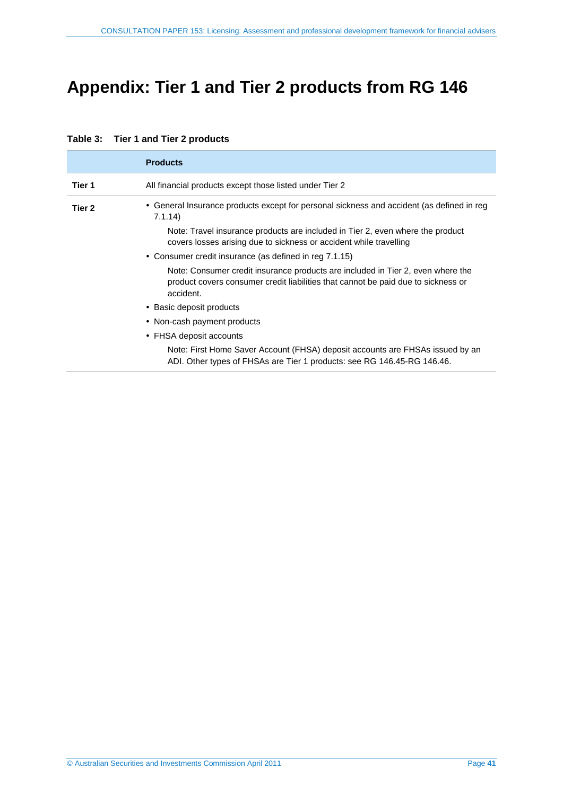# <span id="page-40-0"></span>**Appendix: Tier 1 and Tier 2 products from RG 146**

|        | <b>Products</b>                                                                                                                                                                   |
|--------|-----------------------------------------------------------------------------------------------------------------------------------------------------------------------------------|
| Tier 1 | All financial products except those listed under Tier 2                                                                                                                           |
| Tier 2 | • General Insurance products except for personal sickness and accident (as defined in reg<br>7.1.14                                                                               |
|        | Note: Travel insurance products are included in Tier 2, even where the product<br>covers losses arising due to sickness or accident while travelling                              |
|        | • Consumer credit insurance (as defined in reg 7.1.15)                                                                                                                            |
|        | Note: Consumer credit insurance products are included in Tier 2, even where the<br>product covers consumer credit liabilities that cannot be paid due to sickness or<br>accident. |
|        | • Basic deposit products                                                                                                                                                          |
|        | • Non-cash payment products                                                                                                                                                       |
|        | • FHSA deposit accounts                                                                                                                                                           |
|        | Note: First Home Saver Account (FHSA) deposit accounts are FHSAs issued by an<br>ADI. Other types of FHSAs are Tier 1 products: see RG 146.45-RG 146.46.                          |

### <span id="page-40-1"></span>**Table 3: Tier 1 and Tier 2 products**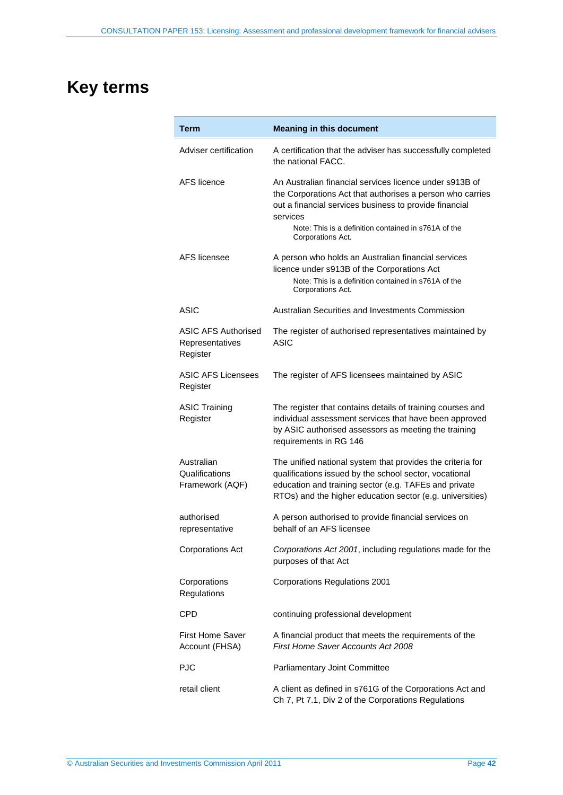# <span id="page-41-0"></span>**Key terms**

| Term                                               | <b>Meaning in this document</b>                                                                                                                                                                                                                    |
|----------------------------------------------------|----------------------------------------------------------------------------------------------------------------------------------------------------------------------------------------------------------------------------------------------------|
| Adviser certification                              | A certification that the adviser has successfully completed<br>the national FACC.                                                                                                                                                                  |
| AFS licence                                        | An Australian financial services licence under s913B of<br>the Corporations Act that authorises a person who carries<br>out a financial services business to provide financial<br>services<br>Note: This is a definition contained in s761A of the |
|                                                    | Corporations Act.                                                                                                                                                                                                                                  |
| AFS licensee                                       | A person who holds an Australian financial services<br>licence under s913B of the Corporations Act<br>Note: This is a definition contained in s761A of the<br>Corporations Act.                                                                    |
| ASIC                                               | Australian Securities and Investments Commission                                                                                                                                                                                                   |
| ASIC AFS Authorised<br>Representatives<br>Register | The register of authorised representatives maintained by<br>ASIC                                                                                                                                                                                   |
| <b>ASIC AFS Licensees</b><br>Register              | The register of AFS licensees maintained by ASIC                                                                                                                                                                                                   |
| <b>ASIC Training</b><br>Register                   | The register that contains details of training courses and<br>individual assessment services that have been approved<br>by ASIC authorised assessors as meeting the training<br>requirements in RG 146                                             |
| Australian<br>Qualifications<br>Framework (AQF)    | The unified national system that provides the criteria for<br>qualifications issued by the school sector, vocational<br>education and training sector (e.g. TAFEs and private<br>RTOs) and the higher education sector (e.g. universities)         |
| authorised<br>representative                       | A person authorised to provide financial services on<br>behalf of an AFS licensee                                                                                                                                                                  |
| <b>Corporations Act</b>                            | Corporations Act 2001, including regulations made for the<br>purposes of that Act                                                                                                                                                                  |
| Corporations<br>Regulations                        | <b>Corporations Regulations 2001</b>                                                                                                                                                                                                               |
| CPD                                                | continuing professional development                                                                                                                                                                                                                |
| <b>First Home Saver</b><br>Account (FHSA)          | A financial product that meets the requirements of the<br>First Home Saver Accounts Act 2008                                                                                                                                                       |
| <b>PJC</b>                                         | Parliamentary Joint Committee                                                                                                                                                                                                                      |
| retail client                                      | A client as defined in s761G of the Corporations Act and<br>Ch 7, Pt 7.1, Div 2 of the Corporations Regulations                                                                                                                                    |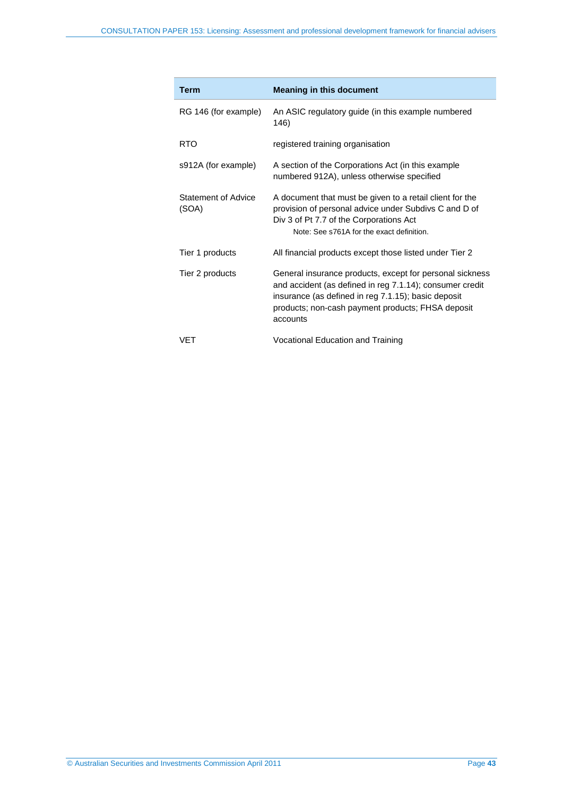| <b>Term</b>                  | <b>Meaning in this document</b>                                                                                                                                                                                                              |
|------------------------------|----------------------------------------------------------------------------------------------------------------------------------------------------------------------------------------------------------------------------------------------|
| RG 146 (for example)         | An ASIC regulatory guide (in this example numbered<br>146)                                                                                                                                                                                   |
| <b>RTO</b>                   | registered training organisation                                                                                                                                                                                                             |
| s912A (for example)          | A section of the Corporations Act (in this example<br>numbered 912A), unless otherwise specified                                                                                                                                             |
| Statement of Advice<br>(SOA) | A document that must be given to a retail client for the<br>provision of personal advice under Subdivs C and D of<br>Div 3 of Pt 7.7 of the Corporations Act<br>Note: See s761A for the exact definition.                                    |
| Tier 1 products              | All financial products except those listed under Tier 2                                                                                                                                                                                      |
| Tier 2 products              | General insurance products, except for personal sickness<br>and accident (as defined in reg 7.1.14); consumer credit<br>insurance (as defined in reg 7.1.15); basic deposit<br>products; non-cash payment products; FHSA deposit<br>accounts |
| VFT                          | Vocational Education and Training                                                                                                                                                                                                            |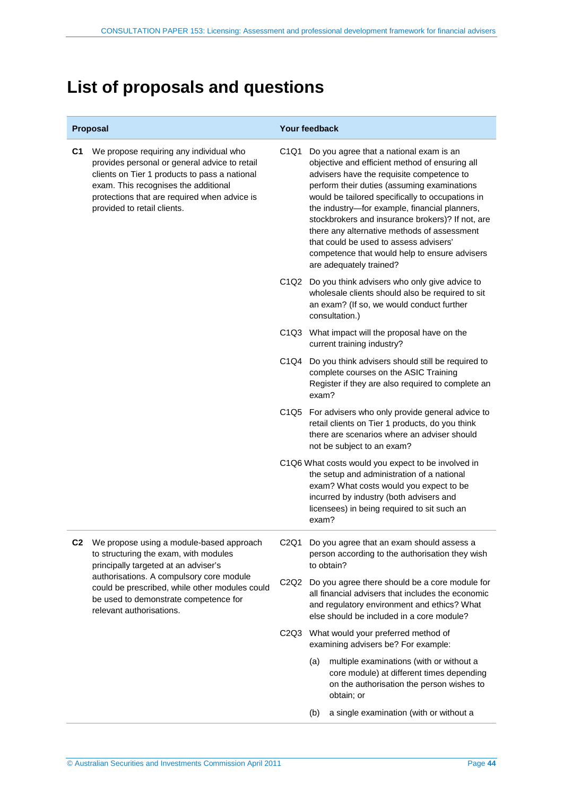# <span id="page-43-0"></span>**List of proposals and questions**

|    | Proposal                                                                                                                                                                                                                                                                                     |                               | Your feedback                                                                                                                                                                                                                                                                                                                                                                                                                                                                                                       |
|----|----------------------------------------------------------------------------------------------------------------------------------------------------------------------------------------------------------------------------------------------------------------------------------------------|-------------------------------|---------------------------------------------------------------------------------------------------------------------------------------------------------------------------------------------------------------------------------------------------------------------------------------------------------------------------------------------------------------------------------------------------------------------------------------------------------------------------------------------------------------------|
| C1 | We propose requiring any individual who<br>provides personal or general advice to retail<br>clients on Tier 1 products to pass a national<br>exam. This recognises the additional<br>protections that are required when advice is<br>provided to retail clients.                             | C <sub>1</sub> Q <sub>1</sub> | Do you agree that a national exam is an<br>objective and efficient method of ensuring all<br>advisers have the requisite competence to<br>perform their duties (assuming examinations<br>would be tailored specifically to occupations in<br>the industry-for example, financial planners,<br>stockbrokers and insurance brokers)? If not, are<br>there any alternative methods of assessment<br>that could be used to assess advisers'<br>competence that would help to ensure advisers<br>are adequately trained? |
|    |                                                                                                                                                                                                                                                                                              |                               | C1Q2 Do you think advisers who only give advice to<br>wholesale clients should also be required to sit<br>an exam? (If so, we would conduct further<br>consultation.)                                                                                                                                                                                                                                                                                                                                               |
|    |                                                                                                                                                                                                                                                                                              |                               | C1Q3 What impact will the proposal have on the<br>current training industry?                                                                                                                                                                                                                                                                                                                                                                                                                                        |
|    |                                                                                                                                                                                                                                                                                              |                               | C1Q4 Do you think advisers should still be required to<br>complete courses on the ASIC Training<br>Register if they are also required to complete an<br>exam?                                                                                                                                                                                                                                                                                                                                                       |
|    |                                                                                                                                                                                                                                                                                              |                               | C1Q5 For advisers who only provide general advice to<br>retail clients on Tier 1 products, do you think<br>there are scenarios where an adviser should<br>not be subject to an exam?                                                                                                                                                                                                                                                                                                                                |
|    |                                                                                                                                                                                                                                                                                              |                               | C1Q6 What costs would you expect to be involved in<br>the setup and administration of a national<br>exam? What costs would you expect to be<br>incurred by industry (both advisers and<br>licensees) in being required to sit such an<br>exam?                                                                                                                                                                                                                                                                      |
|    | We propose using a module-based approach<br>to structuring the exam, with modules<br>principally targeted at an adviser's<br>authorisations. A compulsory core module<br>could be prescribed, while other modules could<br>be used to demonstrate competence for<br>relevant authorisations. |                               | C2Q1 Do you agree that an exam should assess a<br>person according to the authorisation they wish<br>to obtain?                                                                                                                                                                                                                                                                                                                                                                                                     |
|    |                                                                                                                                                                                                                                                                                              | C2Q2                          | Do you agree there should be a core module for<br>all financial advisers that includes the economic<br>and regulatory environment and ethics? What<br>else should be included in a core module?                                                                                                                                                                                                                                                                                                                     |
|    |                                                                                                                                                                                                                                                                                              |                               | C2Q3 What would your preferred method of<br>examining advisers be? For example:                                                                                                                                                                                                                                                                                                                                                                                                                                     |
|    |                                                                                                                                                                                                                                                                                              |                               | multiple examinations (with or without a<br>(a)<br>core module) at different times depending<br>on the authorisation the person wishes to<br>obtain; or                                                                                                                                                                                                                                                                                                                                                             |
|    |                                                                                                                                                                                                                                                                                              |                               | a single examination (with or without a<br>(b)                                                                                                                                                                                                                                                                                                                                                                                                                                                                      |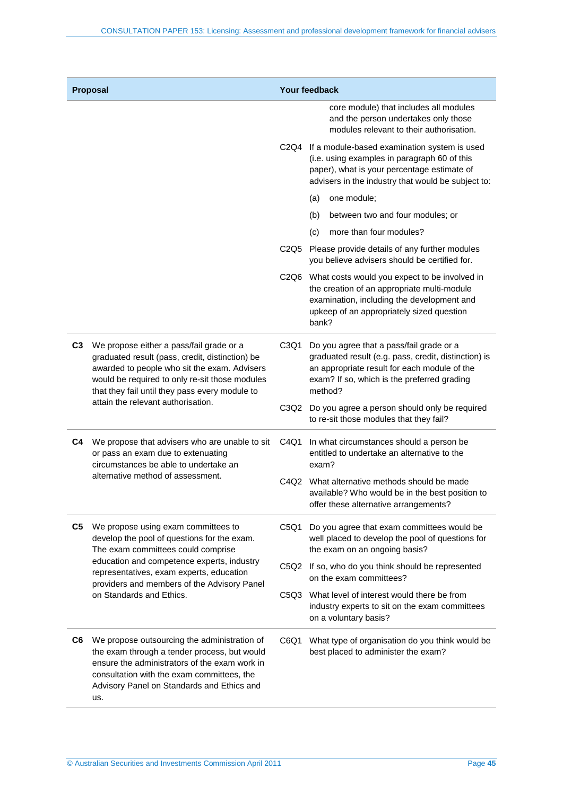| Proposal                                |                                                                                                                                                                                                                                                                                               | Your feedback                 |                                                                                                                                                                                                            |
|-----------------------------------------|-----------------------------------------------------------------------------------------------------------------------------------------------------------------------------------------------------------------------------------------------------------------------------------------------|-------------------------------|------------------------------------------------------------------------------------------------------------------------------------------------------------------------------------------------------------|
|                                         |                                                                                                                                                                                                                                                                                               |                               | core module) that includes all modules<br>and the person undertakes only those<br>modules relevant to their authorisation.                                                                                 |
|                                         |                                                                                                                                                                                                                                                                                               |                               | C2Q4 If a module-based examination system is used<br>(i.e. using examples in paragraph 60 of this<br>paper), what is your percentage estimate of<br>advisers in the industry that would be subject to:     |
|                                         |                                                                                                                                                                                                                                                                                               |                               | one module;<br>(a)                                                                                                                                                                                         |
|                                         |                                                                                                                                                                                                                                                                                               |                               | between two and four modules; or<br>(b)                                                                                                                                                                    |
|                                         |                                                                                                                                                                                                                                                                                               |                               | more than four modules?<br>(c)                                                                                                                                                                             |
|                                         |                                                                                                                                                                                                                                                                                               | C2Q5                          | Please provide details of any further modules<br>you believe advisers should be certified for.                                                                                                             |
|                                         |                                                                                                                                                                                                                                                                                               |                               | C2Q6 What costs would you expect to be involved in<br>the creation of an appropriate multi-module<br>examination, including the development and<br>upkeep of an appropriately sized question<br>bank?      |
| C <sub>3</sub>                          | We propose either a pass/fail grade or a<br>graduated result (pass, credit, distinction) be<br>awarded to people who sit the exam. Advisers<br>would be required to only re-sit those modules<br>that they fail until they pass every module to<br>attain the relevant authorisation.         | C <sub>3</sub> Q <sub>1</sub> | Do you agree that a pass/fail grade or a<br>graduated result (e.g. pass, credit, distinction) is<br>an appropriate result for each module of the<br>exam? If so, which is the preferred grading<br>method? |
|                                         |                                                                                                                                                                                                                                                                                               |                               | C3Q2 Do you agree a person should only be required<br>to re-sit those modules that they fail?                                                                                                              |
| C4<br>alternative method of assessment. | We propose that advisers who are unable to sit<br>or pass an exam due to extenuating<br>circumstances be able to undertake an                                                                                                                                                                 | C4Q1                          | In what circumstances should a person be<br>entitled to undertake an alternative to the<br>exam?                                                                                                           |
|                                         |                                                                                                                                                                                                                                                                                               |                               | C4Q2 What alternative methods should be made<br>available? Who would be in the best position to<br>offer these alternative arrangements?                                                                   |
| C <sub>5</sub>                          | We propose using exam committees to<br>develop the pool of questions for the exam.<br>The exam committees could comprise<br>education and competence experts, industry<br>representatives, exam experts, education<br>providers and members of the Advisory Panel<br>on Standards and Ethics. | C5Q1                          | Do you agree that exam committees would be<br>well placed to develop the pool of questions for<br>the exam on an ongoing basis?                                                                            |
|                                         |                                                                                                                                                                                                                                                                                               |                               | C5Q2 If so, who do you think should be represented<br>on the exam committees?                                                                                                                              |
|                                         |                                                                                                                                                                                                                                                                                               | C5Q3                          | What level of interest would there be from<br>industry experts to sit on the exam committees<br>on a voluntary basis?                                                                                      |
| C6                                      | We propose outsourcing the administration of<br>the exam through a tender process, but would<br>ensure the administrators of the exam work in<br>consultation with the exam committees, the<br>Advisory Panel on Standards and Ethics and<br>us.                                              | C6Q1                          | What type of organisation do you think would be<br>best placed to administer the exam?                                                                                                                     |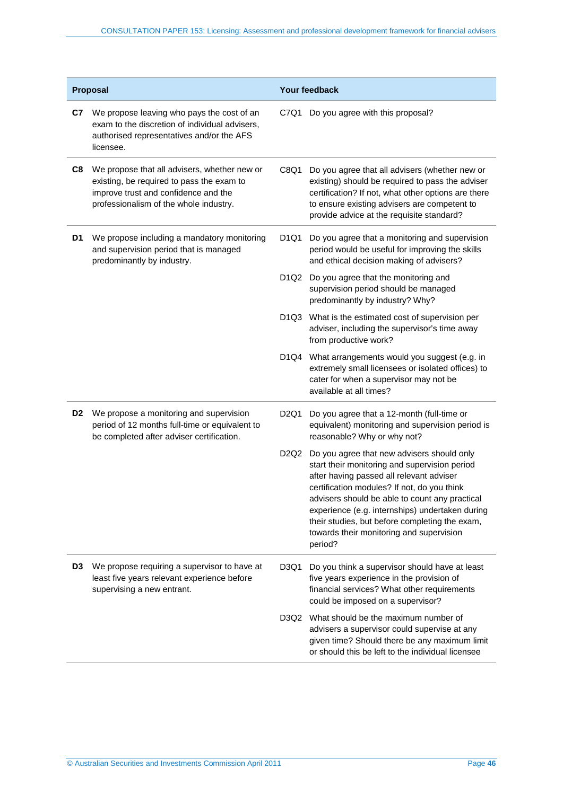| Proposal       |                                                                                                                                                                             |                               | Your feedback                                                                                                                                                                                                                                                                                                                                                                                        |  |
|----------------|-----------------------------------------------------------------------------------------------------------------------------------------------------------------------------|-------------------------------|------------------------------------------------------------------------------------------------------------------------------------------------------------------------------------------------------------------------------------------------------------------------------------------------------------------------------------------------------------------------------------------------------|--|
| C7             | We propose leaving who pays the cost of an<br>exam to the discretion of individual advisers,<br>authorised representatives and/or the AFS<br>licensee.                      | C7Q1                          | Do you agree with this proposal?                                                                                                                                                                                                                                                                                                                                                                     |  |
| C8             | We propose that all advisers, whether new or<br>existing, be required to pass the exam to<br>improve trust and confidence and the<br>professionalism of the whole industry. | C8Q1                          | Do you agree that all advisers (whether new or<br>existing) should be required to pass the adviser<br>certification? If not, what other options are there<br>to ensure existing advisers are competent to<br>provide advice at the requisite standard?                                                                                                                                               |  |
| D <sub>1</sub> | We propose including a mandatory monitoring<br>and supervision period that is managed<br>predominantly by industry.                                                         | D <sub>1</sub> Q <sub>1</sub> | Do you agree that a monitoring and supervision<br>period would be useful for improving the skills<br>and ethical decision making of advisers?                                                                                                                                                                                                                                                        |  |
|                |                                                                                                                                                                             | D <sub>1</sub> Q <sub>2</sub> | Do you agree that the monitoring and<br>supervision period should be managed<br>predominantly by industry? Why?                                                                                                                                                                                                                                                                                      |  |
|                |                                                                                                                                                                             |                               | D1Q3 What is the estimated cost of supervision per<br>adviser, including the supervisor's time away<br>from productive work?                                                                                                                                                                                                                                                                         |  |
|                |                                                                                                                                                                             |                               | D1Q4 What arrangements would you suggest (e.g. in<br>extremely small licensees or isolated offices) to<br>cater for when a supervisor may not be<br>available at all times?                                                                                                                                                                                                                          |  |
| D <sub>2</sub> | We propose a monitoring and supervision<br>period of 12 months full-time or equivalent to<br>be completed after adviser certification.                                      | D <sub>2</sub> Q <sub>1</sub> | Do you agree that a 12-month (full-time or<br>equivalent) monitoring and supervision period is<br>reasonable? Why or why not?                                                                                                                                                                                                                                                                        |  |
|                |                                                                                                                                                                             | D <sub>2</sub> Q <sub>2</sub> | Do you agree that new advisers should only<br>start their monitoring and supervision period<br>after having passed all relevant adviser<br>certification modules? If not, do you think<br>advisers should be able to count any practical<br>experience (e.g. internships) undertaken during<br>their studies, but before completing the exam,<br>towards their monitoring and supervision<br>period? |  |
| D <sub>3</sub> | We propose requiring a supervisor to have at<br>least five years relevant experience before<br>supervising a new entrant.                                                   | D3Q1                          | Do you think a supervisor should have at least<br>five years experience in the provision of<br>financial services? What other requirements<br>could be imposed on a supervisor?                                                                                                                                                                                                                      |  |
|                |                                                                                                                                                                             | D3Q2                          | What should be the maximum number of<br>advisers a supervisor could supervise at any<br>given time? Should there be any maximum limit<br>or should this be left to the individual licensee                                                                                                                                                                                                           |  |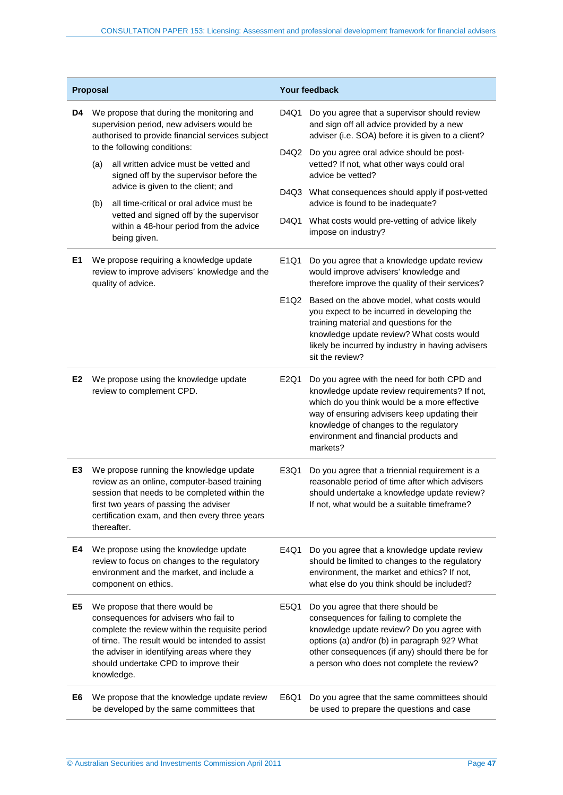| Proposal       |                                                                                                                | <b>Your feedback</b>                                                                                                                                                                                                                                                                |      |                                                                                                                                                                                                                                                                                              |
|----------------|----------------------------------------------------------------------------------------------------------------|-------------------------------------------------------------------------------------------------------------------------------------------------------------------------------------------------------------------------------------------------------------------------------------|------|----------------------------------------------------------------------------------------------------------------------------------------------------------------------------------------------------------------------------------------------------------------------------------------------|
| D4             |                                                                                                                | We propose that during the monitoring and<br>supervision period, new advisers would be<br>authorised to provide financial services subject<br>to the following conditions:                                                                                                          |      | Do you agree that a supervisor should review<br>and sign off all advice provided by a new<br>adviser (i.e. SOA) before it is given to a client?                                                                                                                                              |
|                | (a)                                                                                                            | all written advice must be vetted and<br>signed off by the supervisor before the<br>advice is given to the client; and                                                                                                                                                              |      | D4Q2 Do you agree oral advice should be post-<br>vetted? If not, what other ways could oral<br>advice be vetted?                                                                                                                                                                             |
|                | (b)                                                                                                            | all time-critical or oral advice must be                                                                                                                                                                                                                                            |      | D4Q3 What consequences should apply if post-vetted<br>advice is found to be inadequate?                                                                                                                                                                                                      |
|                |                                                                                                                | vetted and signed off by the supervisor<br>within a 48-hour period from the advice<br>being given.                                                                                                                                                                                  | D4Q1 | What costs would pre-vetting of advice likely<br>impose on industry?                                                                                                                                                                                                                         |
| E1             | We propose requiring a knowledge update<br>review to improve advisers' knowledge and the<br>quality of advice. |                                                                                                                                                                                                                                                                                     | E1Q1 | Do you agree that a knowledge update review<br>would improve advisers' knowledge and<br>therefore improve the quality of their services?                                                                                                                                                     |
|                |                                                                                                                |                                                                                                                                                                                                                                                                                     |      | E1Q2 Based on the above model, what costs would<br>you expect to be incurred in developing the<br>training material and questions for the<br>knowledge update review? What costs would<br>likely be incurred by industry in having advisers<br>sit the review?                               |
| E <sub>2</sub> |                                                                                                                | We propose using the knowledge update<br>review to complement CPD.                                                                                                                                                                                                                  | E2Q1 | Do you agree with the need for both CPD and<br>knowledge update review requirements? If not,<br>which do you think would be a more effective<br>way of ensuring advisers keep updating their<br>knowledge of changes to the regulatory<br>environment and financial products and<br>markets? |
| E3             |                                                                                                                | We propose running the knowledge update<br>review as an online, computer-based training<br>session that needs to be completed within the<br>first two years of passing the adviser<br>certification exam, and then every three years<br>thereafter.                                 | E3Q1 | Do you agree that a triennial requirement is a<br>reasonable period of time after which advisers<br>should undertake a knowledge update review?<br>If not, what would be a suitable timeframe?                                                                                               |
| E4             |                                                                                                                | We propose using the knowledge update<br>review to focus on changes to the regulatory<br>environment and the market, and include a<br>component on ethics.                                                                                                                          | E4Q1 | Do you agree that a knowledge update review<br>should be limited to changes to the regulatory<br>environment, the market and ethics? If not,<br>what else do you think should be included?                                                                                                   |
| E5             |                                                                                                                | We propose that there would be<br>consequences for advisers who fail to<br>complete the review within the requisite period<br>of time. The result would be intended to assist<br>the adviser in identifying areas where they<br>should undertake CPD to improve their<br>knowledge. | E5Q1 | Do you agree that there should be<br>consequences for failing to complete the<br>knowledge update review? Do you agree with<br>options (a) and/or (b) in paragraph 92? What<br>other consequences (if any) should there be for<br>a person who does not complete the review?                 |
| E6             |                                                                                                                | We propose that the knowledge update review<br>be developed by the same committees that                                                                                                                                                                                             | E6Q1 | Do you agree that the same committees should<br>be used to prepare the questions and case                                                                                                                                                                                                    |